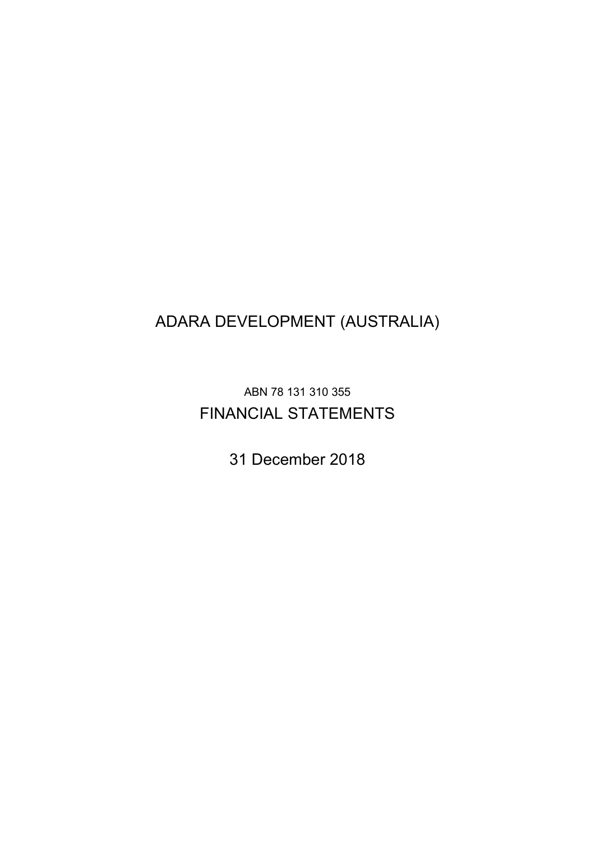## ADARA DEVELOPMENT (AUSTRALIA)

ABN 78 131 310 355 FINANCIAL STATEMENTS

31 December 2018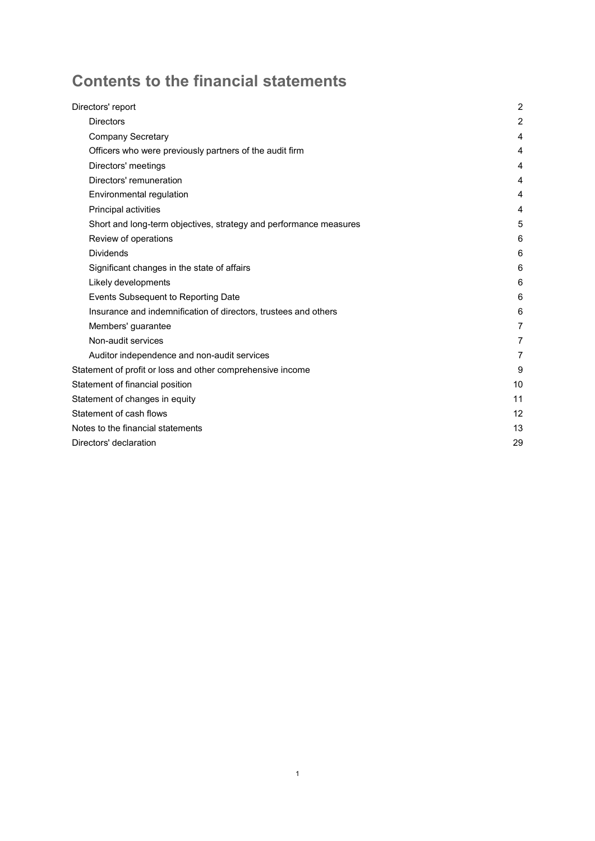# Contents to the financial statements

| Directors' report                                                 | $\overline{c}$ |
|-------------------------------------------------------------------|----------------|
| <b>Directors</b>                                                  | $\overline{2}$ |
| <b>Company Secretary</b>                                          | 4              |
| Officers who were previously partners of the audit firm           | 4              |
| Directors' meetings                                               | 4              |
| Directors' remuneration                                           | 4              |
| Environmental regulation                                          | 4              |
| Principal activities                                              | 4              |
| Short and long-term objectives, strategy and performance measures | 5              |
| Review of operations                                              | 6              |
| <b>Dividends</b>                                                  | 6              |
| Significant changes in the state of affairs                       | 6              |
| Likely developments                                               | 6              |
| Events Subsequent to Reporting Date                               | 6              |
| Insurance and indemnification of directors, trustees and others   | 6              |
| Members' guarantee                                                | 7              |
| Non-audit services                                                | 7              |
| Auditor independence and non-audit services                       | 7              |
| Statement of profit or loss and other comprehensive income        | 9              |
| Statement of financial position                                   | 10             |
| Statement of changes in equity                                    | 11             |
| Statement of cash flows                                           | 12             |
| Notes to the financial statements                                 | 13             |
| Directors' declaration                                            | 29             |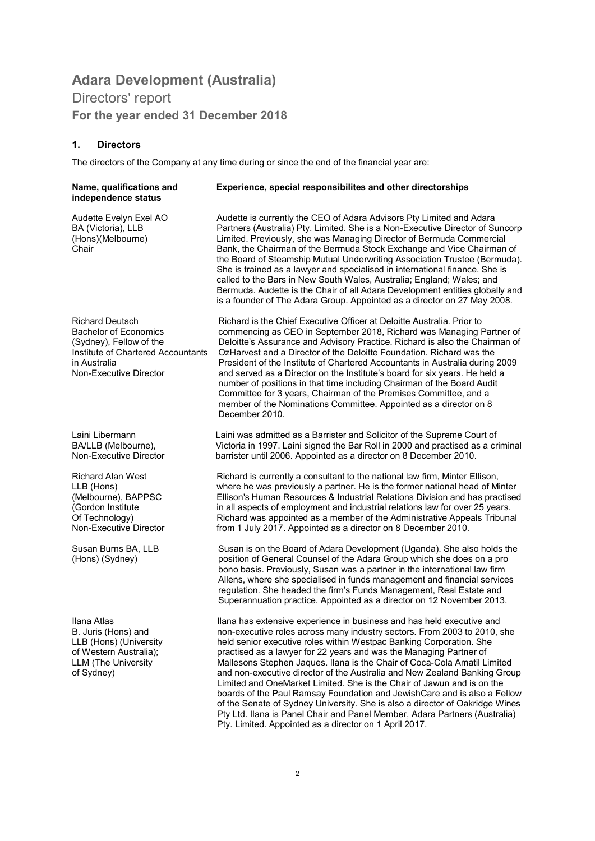### Adara Development (Australia) Directors' report For the year ended 31 December 2018

#### 1. Directors

The directors of the Company at any time during or since the end of the financial year are:

| Name, qualifications and<br>independence status                                                                                                                   | Experience, special responsibilites and other directorships                                                                                                                                                                                                                                                                                                                                                                                                                                                                                                                                                                                                                                                                                                                                                                            |
|-------------------------------------------------------------------------------------------------------------------------------------------------------------------|----------------------------------------------------------------------------------------------------------------------------------------------------------------------------------------------------------------------------------------------------------------------------------------------------------------------------------------------------------------------------------------------------------------------------------------------------------------------------------------------------------------------------------------------------------------------------------------------------------------------------------------------------------------------------------------------------------------------------------------------------------------------------------------------------------------------------------------|
| Audette Evelyn Exel AO<br>BA (Victoria), LLB<br>(Hons)(Melbourne)<br>Chair                                                                                        | Audette is currently the CEO of Adara Advisors Pty Limited and Adara<br>Partners (Australia) Pty. Limited. She is a Non-Executive Director of Suncorp<br>Limited. Previously, she was Managing Director of Bermuda Commercial<br>Bank, the Chairman of the Bermuda Stock Exchange and Vice Chairman of<br>the Board of Steamship Mutual Underwriting Association Trustee (Bermuda).<br>She is trained as a lawyer and specialised in international finance. She is<br>called to the Bars in New South Wales, Australia; England; Wales; and<br>Bermuda. Audette is the Chair of all Adara Development entities globally and<br>is a founder of The Adara Group. Appointed as a director on 27 May 2008.                                                                                                                                |
| <b>Richard Deutsch</b><br><b>Bachelor of Economics</b><br>(Sydney), Fellow of the<br>Institute of Chartered Accountants<br>in Australia<br>Non-Executive Director | Richard is the Chief Executive Officer at Deloitte Australia. Prior to<br>commencing as CEO in September 2018, Richard was Managing Partner of<br>Deloitte's Assurance and Advisory Practice. Richard is also the Chairman of<br>OzHarvest and a Director of the Deloitte Foundation. Richard was the<br>President of the Institute of Chartered Accountants in Australia during 2009<br>and served as a Director on the Institute's board for six years. He held a<br>number of positions in that time including Chairman of the Board Audit<br>Committee for 3 years, Chairman of the Premises Committee, and a<br>member of the Nominations Committee. Appointed as a director on 8<br>December 2010.                                                                                                                               |
| Laini Libermann<br>BA/LLB (Melbourne),<br>Non-Executive Director                                                                                                  | Laini was admitted as a Barrister and Solicitor of the Supreme Court of<br>Victoria in 1997. Laini signed the Bar Roll in 2000 and practised as a criminal<br>barrister until 2006. Appointed as a director on 8 December 2010.                                                                                                                                                                                                                                                                                                                                                                                                                                                                                                                                                                                                        |
| Richard Alan West<br>LLB (Hons)<br>(Melbourne), BAPPSC<br>(Gordon Institute<br>Of Technology)<br>Non-Executive Director                                           | Richard is currently a consultant to the national law firm, Minter Ellison,<br>where he was previously a partner. He is the former national head of Minter<br>Ellison's Human Resources & Industrial Relations Division and has practised<br>in all aspects of employment and industrial relations law for over 25 years.<br>Richard was appointed as a member of the Administrative Appeals Tribunal<br>from 1 July 2017. Appointed as a director on 8 December 2010.                                                                                                                                                                                                                                                                                                                                                                 |
| Susan Burns BA, LLB<br>(Hons) (Sydney)                                                                                                                            | Susan is on the Board of Adara Development (Uganda). She also holds the<br>position of General Counsel of the Adara Group which she does on a pro<br>bono basis. Previously, Susan was a partner in the international law firm<br>Allens, where she specialised in funds management and financial services<br>regulation. She headed the firm's Funds Management, Real Estate and<br>Superannuation practice. Appointed as a director on 12 November 2013.                                                                                                                                                                                                                                                                                                                                                                             |
| Ilana Atlas<br>B. Juris (Hons) and<br>LLB (Hons) (University<br>of Western Australia);<br><b>LLM</b> (The University<br>of Sydney)                                | Ilana has extensive experience in business and has held executive and<br>non-executive roles across many industry sectors. From 2003 to 2010, she<br>held senior executive roles within Westpac Banking Corporation. She<br>practised as a lawyer for 22 years and was the Managing Partner of<br>Mallesons Stephen Jaques. Ilana is the Chair of Coca-Cola Amatil Limited<br>and non-executive director of the Australia and New Zealand Banking Group<br>Limited and OneMarket Limited. She is the Chair of Jawun and is on the<br>boards of the Paul Ramsay Foundation and Jewish Care and is also a Fellow<br>of the Senate of Sydney University. She is also a director of Oakridge Wines<br>Pty Ltd. Ilana is Panel Chair and Panel Member, Adara Partners (Australia)<br>Pty. Limited. Appointed as a director on 1 April 2017. |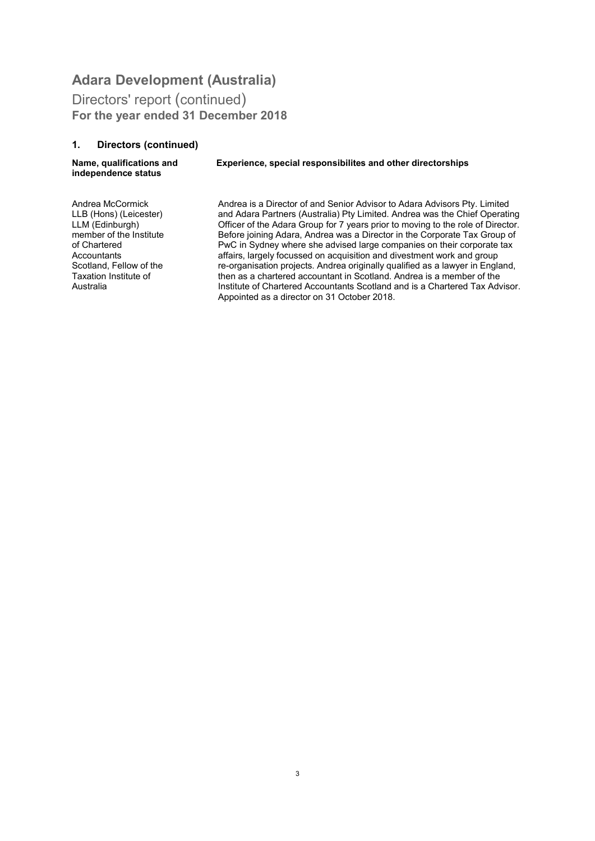Directors' report (continued) For the year ended 31 December 2018

#### 1. Directors (continued)

Name, qualifications and independence status .

#### Experience, special responsibilites and other directorships

Andrea McCormick LLB (Hons) (Leicester) LLM (Edinburgh) member of the Institute of Chartered **Accountants** Scotland, Fellow of the Taxation Institute of Australia

Andrea is a Director of and Senior Advisor to Adara Advisors Pty. Limited and Adara Partners (Australia) Pty Limited. Andrea was the Chief Operating Officer of the Adara Group for 7 years prior to moving to the role of Director. Before joining Adara, Andrea was a Director in the Corporate Tax Group of PwC in Sydney where she advised large companies on their corporate tax affairs, largely focussed on acquisition and divestment work and group re-organisation projects. Andrea originally qualified as a lawyer in England, then as a chartered accountant in Scotland. Andrea is a member of the Institute of Chartered Accountants Scotland and is a Chartered Tax Advisor. Appointed as a director on 31 October 2018.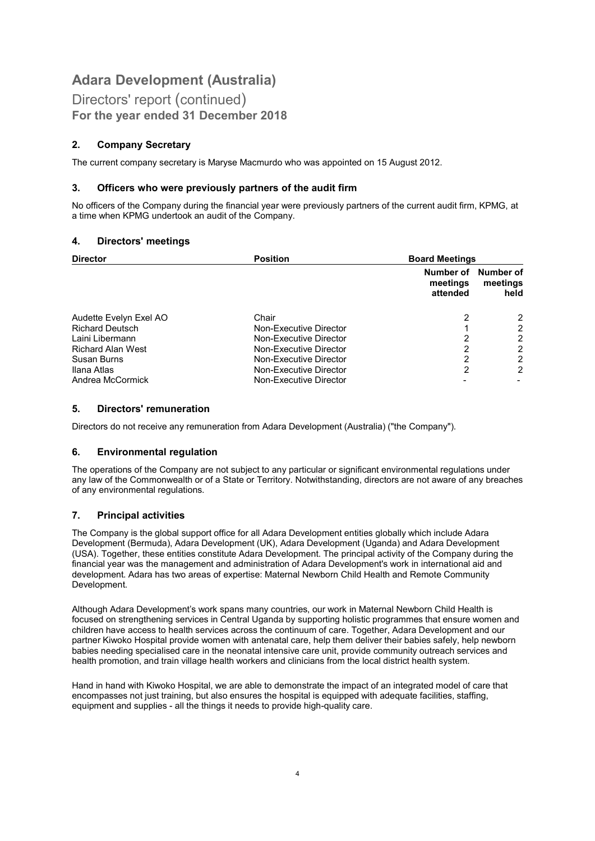Directors' report (continued) For the year ended 31 December 2018

#### 2. Company Secretary

The current company secretary is Maryse Macmurdo who was appointed on 15 August 2012.

#### 3. Officers who were previously partners of the audit firm

No officers of the Company during the financial year were previously partners of the current audit firm, KPMG, at a time when KPMG undertook an audit of the Company.

#### 4. Directors' meetings

| <b>Director</b>          | <b>Position</b>        |                                   | <b>Board Meetings</b>         |  |
|--------------------------|------------------------|-----------------------------------|-------------------------------|--|
|                          |                        | Number of<br>meetings<br>attended | Number of<br>meetings<br>held |  |
| Audette Evelyn Exel AO   | Chair                  | 2                                 | ົ                             |  |
| <b>Richard Deutsch</b>   | Non-Executive Director |                                   | 2                             |  |
| Laini Libermann          | Non-Executive Director | 2                                 |                               |  |
| <b>Richard Alan West</b> | Non-Executive Director | 2                                 | ົ                             |  |
| Susan Burns              | Non-Executive Director | 2                                 | 2                             |  |
| Ilana Atlas              | Non-Executive Director | 2                                 | 2                             |  |
| Andrea McCormick         | Non-Executive Director |                                   |                               |  |

#### 5. Directors' remuneration

Directors do not receive any remuneration from Adara Development (Australia) ("the Company").

#### 6. Environmental regulation

The operations of the Company are not subject to any particular or significant environmental regulations under any law of the Commonwealth or of a State or Territory. Notwithstanding, directors are not aware of any breaches of any environmental regulations.

#### 7. Principal activities

The Company is the global support office for all Adara Development entities globally which include Adara Development (Bermuda), Adara Development (UK), Adara Development (Uganda) and Adara Development (USA). Together, these entities constitute Adara Development. The principal activity of the Company during the financial year was the management and administration of Adara Development's work in international aid and development. Adara has two areas of expertise: Maternal Newborn Child Health and Remote Community Development.

Although Adara Development's work spans many countries, our work in Maternal Newborn Child Health is focused on strengthening services in Central Uganda by supporting holistic programmes that ensure women and children have access to health services across the continuum of care. Together, Adara Development and our partner Kiwoko Hospital provide women with antenatal care, help them deliver their babies safely, help newborn babies needing specialised care in the neonatal intensive care unit, provide community outreach services and health promotion, and train village health workers and clinicians from the local district health system.

Hand in hand with Kiwoko Hospital, we are able to demonstrate the impact of an integrated model of care that encompasses not just training, but also ensures the hospital is equipped with adequate facilities, staffing, equipment and supplies - all the things it needs to provide high-quality care.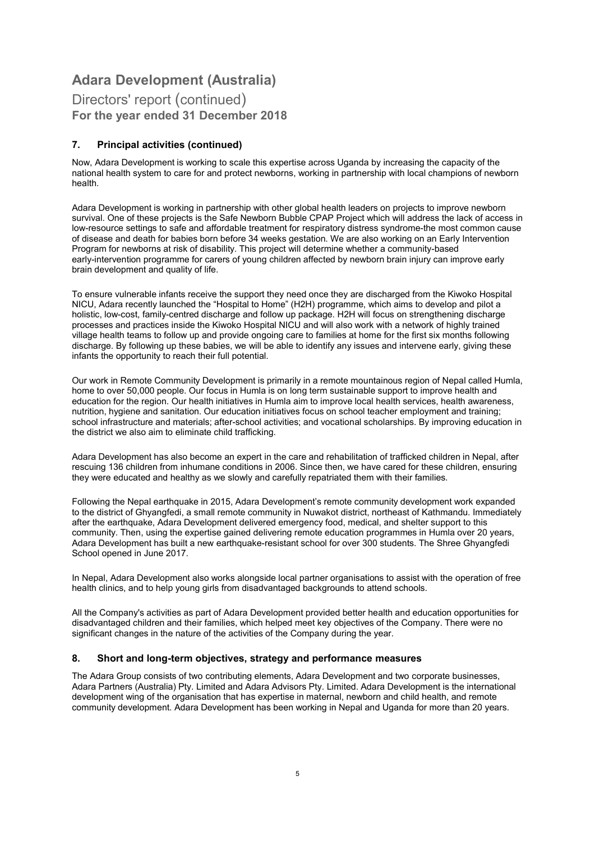#### Directors' report (continued) For the year ended 31 December 2018

#### 7. Principal activities (continued)

Now, Adara Development is working to scale this expertise across Uganda by increasing the capacity of the national health system to care for and protect newborns, working in partnership with local champions of newborn health.

Adara Development is working in partnership with other global health leaders on projects to improve newborn survival. One of these projects is the Safe Newborn Bubble CPAP Project which will address the lack of access in low-resource settings to safe and affordable treatment for respiratory distress syndrome-the most common cause of disease and death for babies born before 34 weeks gestation. We are also working on an Early Intervention Program for newborns at risk of disability. This project will determine whether a community-based early-intervention programme for carers of young children affected by newborn brain injury can improve early brain development and quality of life.

To ensure vulnerable infants receive the support they need once they are discharged from the Kiwoko Hospital NICU, Adara recently launched the "Hospital to Home" (H2H) programme, which aims to develop and pilot a holistic, low-cost, family-centred discharge and follow up package. H2H will focus on strengthening discharge processes and practices inside the Kiwoko Hospital NICU and will also work with a network of highly trained village health teams to follow up and provide ongoing care to families at home for the first six months following discharge. By following up these babies, we will be able to identify any issues and intervene early, giving these infants the opportunity to reach their full potential.

Our work in Remote Community Development is primarily in a remote mountainous region of Nepal called Humla, home to over 50,000 people. Our focus in Humla is on long term sustainable support to improve health and education for the region. Our health initiatives in Humla aim to improve local health services, health awareness, nutrition, hygiene and sanitation. Our education initiatives focus on school teacher employment and training; school infrastructure and materials; after-school activities; and vocational scholarships. By improving education in the district we also aim to eliminate child trafficking.

Adara Development has also become an expert in the care and rehabilitation of trafficked children in Nepal, after rescuing 136 children from inhumane conditions in 2006. Since then, we have cared for these children, ensuring they were educated and healthy as we slowly and carefully repatriated them with their families.

Following the Nepal earthquake in 2015, Adara Development's remote community development work expanded to the district of Ghyangfedi, a small remote community in Nuwakot district, northeast of Kathmandu. Immediately after the earthquake, Adara Development delivered emergency food, medical, and shelter support to this community. Then, using the expertise gained delivering remote education programmes in Humla over 20 years, Adara Development has built a new earthquake-resistant school for over 300 students. The Shree Ghyangfedi School opened in June 2017.

In Nepal, Adara Development also works alongside local partner organisations to assist with the operation of free health clinics, and to help young girls from disadvantaged backgrounds to attend schools.

All the Company's activities as part of Adara Development provided better health and education opportunities for disadvantaged children and their families, which helped meet key objectives of the Company. There were no significant changes in the nature of the activities of the Company during the year.

#### 8. Short and long-term objectives, strategy and performance measures

The Adara Group consists of two contributing elements, Adara Development and two corporate businesses, Adara Partners (Australia) Pty. Limited and Adara Advisors Pty. Limited. Adara Development is the international development wing of the organisation that has expertise in maternal, newborn and child health, and remote community development. Adara Development has been working in Nepal and Uganda for more than 20 years.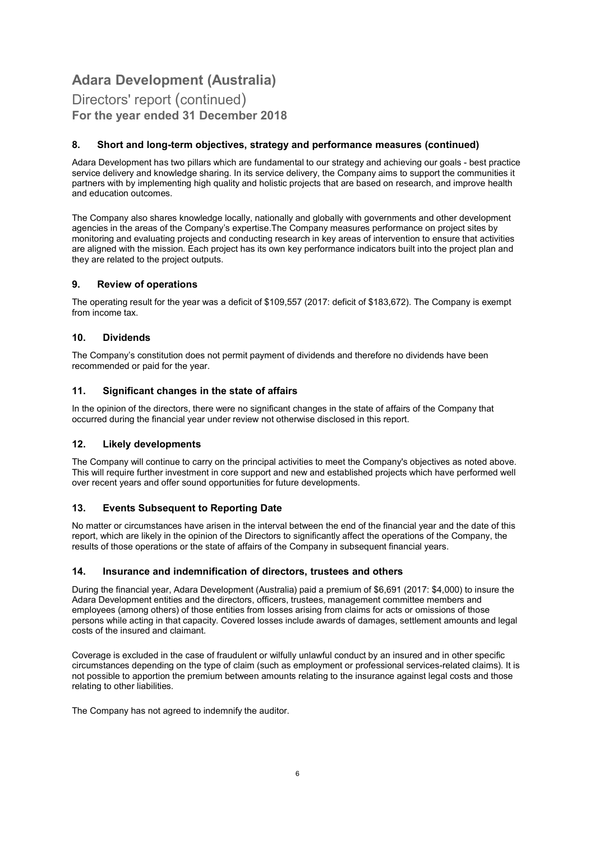#### Directors' report (continued) For the year ended 31 December 2018

#### 8. Short and long-term objectives, strategy and performance measures (continued)

Adara Development has two pillars which are fundamental to our strategy and achieving our goals - best practice service delivery and knowledge sharing. In its service delivery, the Company aims to support the communities it partners with by implementing high quality and holistic projects that are based on research, and improve health and education outcomes.

The Company also shares knowledge locally, nationally and globally with governments and other development agencies in the areas of the Company's expertise.The Company measures performance on project sites by monitoring and evaluating projects and conducting research in key areas of intervention to ensure that activities are aligned with the mission. Each project has its own key performance indicators built into the project plan and they are related to the project outputs.

#### 9. Review of operations

The operating result for the year was a deficit of \$109,557 (2017: deficit of \$183,672). The Company is exempt from income tax.

#### 10. Dividends

The Company's constitution does not permit payment of dividends and therefore no dividends have been recommended or paid for the year.

#### 11. Significant changes in the state of affairs

In the opinion of the directors, there were no significant changes in the state of affairs of the Company that occurred during the financial year under review not otherwise disclosed in this report.

#### 12. Likely developments

The Company will continue to carry on the principal activities to meet the Company's objectives as noted above. This will require further investment in core support and new and established projects which have performed well over recent years and offer sound opportunities for future developments.

#### 13. Events Subsequent to Reporting Date

No matter or circumstances have arisen in the interval between the end of the financial year and the date of this report, which are likely in the opinion of the Directors to significantly affect the operations of the Company, the results of those operations or the state of affairs of the Company in subsequent financial years.

#### 14. Insurance and indemnification of directors, trustees and others

During the financial year, Adara Development (Australia) paid a premium of \$6,691 (2017: \$4,000) to insure the Adara Development entities and the directors, officers, trustees, management committee members and employees (among others) of those entities from losses arising from claims for acts or omissions of those persons while acting in that capacity. Covered losses include awards of damages, settlement amounts and legal costs of the insured and claimant.

Coverage is excluded in the case of fraudulent or wilfully unlawful conduct by an insured and in other specific circumstances depending on the type of claim (such as employment or professional services-related claims). It is not possible to apportion the premium between amounts relating to the insurance against legal costs and those relating to other liabilities.

The Company has not agreed to indemnify the auditor.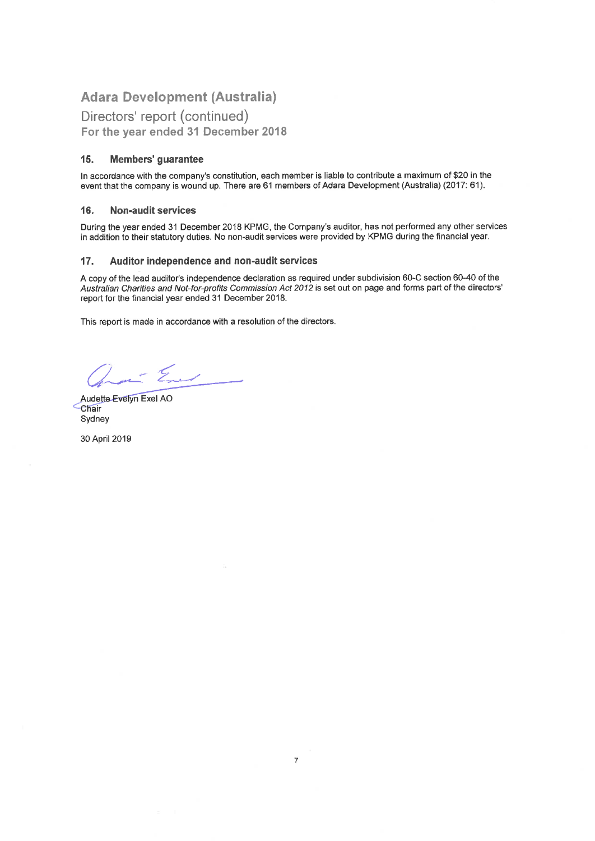Directors' report (continued) For the year ended 31 December 2018

#### 15. Members' guarantee

In accordance with the company's constitution, each member is liable to contribute a maximum of \$20 in the event that the company is wound up. There are 61 members of Adara Development (Australia) (2017: 61).

#### 16. **Non-audit services**

During the year ended 31 December 2018 KPMG, the Company's auditor, has not performed any other services in addition to their statutory duties. No non-audit services were provided by KPMG during the financial year.

#### 17. Auditor independence and non-audit services

A copy of the lead auditor's independence declaration as required under subdivision 60-C section 60-40 of the Australian Charities and Not-for-profits Commission Act 2012 is set out on page and forms part of the directors' report for the financial year ended 31 December 2018.

This report is made in accordance with a resolution of the directors.

ant Eur

Audette-Evelyn Exel AO **Chair** Sydney

30 April 2019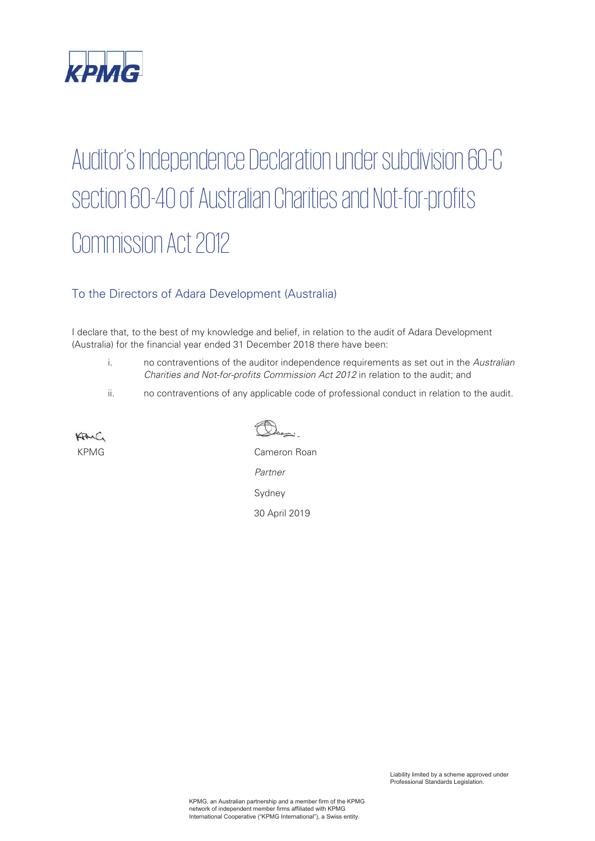

# Auditor's Independence Declaration under subdivision 60-C section 60-40 of Australian Charities and Not-for-profits Commission Act 2012

### To the Directors of Adara Development (Australia)

I declare that, to the best of my knowledge and belief, in relation to the audit of Adara Development (Australia) for the financial year ended 31 December 2018 there have been:

- i. no contraventions of the auditor independence requirements as set out in the *Australian Charities and Not-for-profits Commission Act 2012* in relation to the audit; and
- ii. no contraventions of any applicable code of professional conduct in relation to the audit.

KAIC

Doan:

KPMG Cameron Roan *Partner* Sydney 30 April 2019

> Liability limited by a scheme approved under Professional Standards Legislation.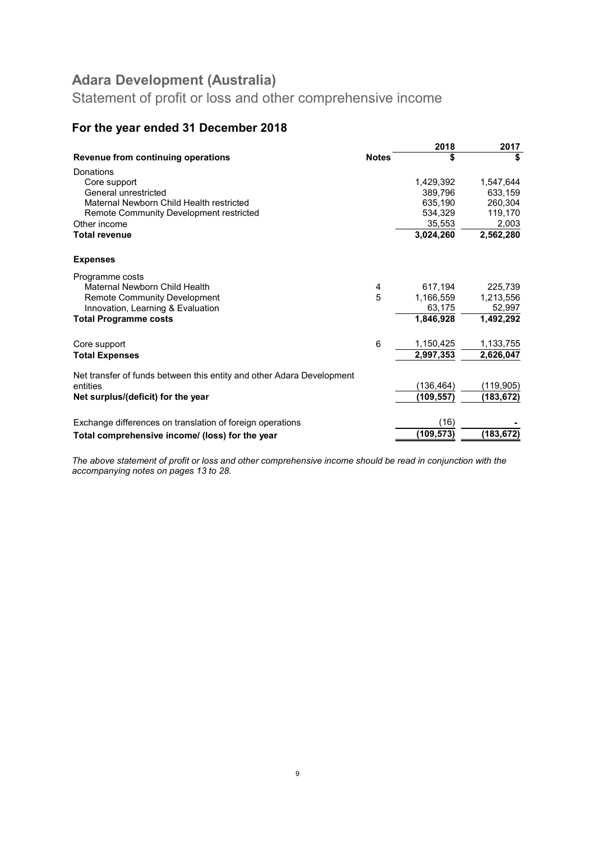Statement of profit or loss and other comprehensive income

### For the year ended 31 December 2018

|                                                                       |              | 2018       | 2017       |
|-----------------------------------------------------------------------|--------------|------------|------------|
| Revenue from continuing operations                                    | <b>Notes</b> | \$         | \$         |
| Donations                                                             |              |            |            |
| Core support                                                          |              | 1,429,392  | 1,547,644  |
| General unrestricted                                                  |              | 389,796    | 633.159    |
| Maternal Newborn Child Health restricted                              |              | 635,190    | 260.304    |
| Remote Community Development restricted                               |              | 534,329    | 119,170    |
| Other income                                                          |              | 35,553     | 2,003      |
| <b>Total revenue</b>                                                  |              | 3,024,260  | 2,562,280  |
| <b>Expenses</b>                                                       |              |            |            |
| Programme costs                                                       |              |            |            |
| Maternal Newborn Child Health                                         | 4            | 617,194    | 225,739    |
| <b>Remote Community Development</b>                                   | 5            | 1,166,559  | 1,213,556  |
| Innovation, Learning & Evaluation                                     |              | 63,175     | 52,997     |
| <b>Total Programme costs</b>                                          |              | 1,846,928  | 1,492,292  |
| Core support                                                          | 6            | 1,150,425  | 1,133,755  |
| <b>Total Expenses</b>                                                 |              | 2,997,353  | 2,626,047  |
| Net transfer of funds between this entity and other Adara Development |              |            |            |
| entities                                                              |              | (136, 464) | (119,905)  |
| Net surplus/(deficit) for the year                                    |              | (109,557)  | (183, 672) |
| Exchange differences on translation of foreign operations             |              | (16)       |            |
| Total comprehensive income/ (loss) for the year                       |              | (109, 573) | (183,672)  |
|                                                                       |              |            |            |

The above statement of profit or loss and other comprehensive income should be read in conjunction with the accompanying notes on pages 13 to 28.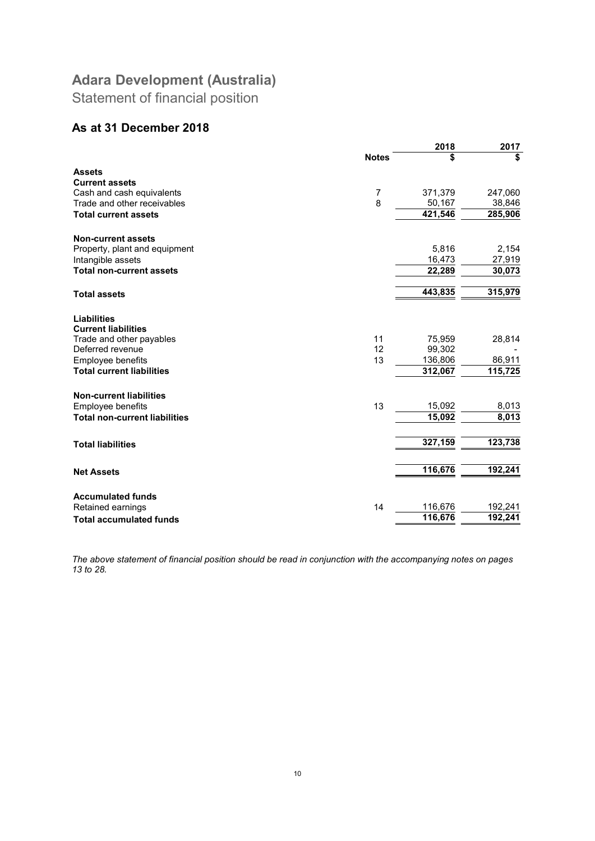Statement of financial position

#### As at 31 December 2018

| \$<br>\$<br><b>Notes</b><br><b>Assets</b><br><b>Current assets</b><br>7<br>371,379<br>Cash and cash equivalents<br>247,060<br>8<br>50,167<br>38,846<br>Trade and other receivables<br>421,546<br>285,906<br><b>Total current assets</b><br><b>Non-current assets</b><br>5,816<br>Property, plant and equipment<br>2,154<br>16,473<br>27,919<br>Intangible assets<br><b>Total non-current assets</b><br>22,289<br>30,073<br>443,835<br>315,979<br><b>Total assets</b><br><b>Liabilities</b><br><b>Current liabilities</b><br>28,814<br>Trade and other payables<br>11<br>75,959<br>12<br>Deferred revenue<br>99,302<br>136,806<br>86,911<br>13<br>Employee benefits<br>312,067<br>115,725<br><b>Total current liabilities</b><br><b>Non-current liabilities</b><br>13<br>15,092<br>Employee benefits<br>8,013<br>15,092<br>8,013<br><b>Total non-current liabilities</b><br>327,159<br>123,738<br><b>Total liabilities</b><br>116,676<br>192,241<br><b>Net Assets</b><br><b>Accumulated funds</b><br>116,676<br>192,241<br>14<br>Retained earnings<br>116,676<br>192,241<br><b>Total accumulated funds</b> |  | 2018 | 2017 |
|-----------------------------------------------------------------------------------------------------------------------------------------------------------------------------------------------------------------------------------------------------------------------------------------------------------------------------------------------------------------------------------------------------------------------------------------------------------------------------------------------------------------------------------------------------------------------------------------------------------------------------------------------------------------------------------------------------------------------------------------------------------------------------------------------------------------------------------------------------------------------------------------------------------------------------------------------------------------------------------------------------------------------------------------------------------------------------------------------------------|--|------|------|
|                                                                                                                                                                                                                                                                                                                                                                                                                                                                                                                                                                                                                                                                                                                                                                                                                                                                                                                                                                                                                                                                                                           |  |      |      |
|                                                                                                                                                                                                                                                                                                                                                                                                                                                                                                                                                                                                                                                                                                                                                                                                                                                                                                                                                                                                                                                                                                           |  |      |      |
|                                                                                                                                                                                                                                                                                                                                                                                                                                                                                                                                                                                                                                                                                                                                                                                                                                                                                                                                                                                                                                                                                                           |  |      |      |
|                                                                                                                                                                                                                                                                                                                                                                                                                                                                                                                                                                                                                                                                                                                                                                                                                                                                                                                                                                                                                                                                                                           |  |      |      |
|                                                                                                                                                                                                                                                                                                                                                                                                                                                                                                                                                                                                                                                                                                                                                                                                                                                                                                                                                                                                                                                                                                           |  |      |      |
|                                                                                                                                                                                                                                                                                                                                                                                                                                                                                                                                                                                                                                                                                                                                                                                                                                                                                                                                                                                                                                                                                                           |  |      |      |
|                                                                                                                                                                                                                                                                                                                                                                                                                                                                                                                                                                                                                                                                                                                                                                                                                                                                                                                                                                                                                                                                                                           |  |      |      |
|                                                                                                                                                                                                                                                                                                                                                                                                                                                                                                                                                                                                                                                                                                                                                                                                                                                                                                                                                                                                                                                                                                           |  |      |      |
|                                                                                                                                                                                                                                                                                                                                                                                                                                                                                                                                                                                                                                                                                                                                                                                                                                                                                                                                                                                                                                                                                                           |  |      |      |
|                                                                                                                                                                                                                                                                                                                                                                                                                                                                                                                                                                                                                                                                                                                                                                                                                                                                                                                                                                                                                                                                                                           |  |      |      |
|                                                                                                                                                                                                                                                                                                                                                                                                                                                                                                                                                                                                                                                                                                                                                                                                                                                                                                                                                                                                                                                                                                           |  |      |      |
|                                                                                                                                                                                                                                                                                                                                                                                                                                                                                                                                                                                                                                                                                                                                                                                                                                                                                                                                                                                                                                                                                                           |  |      |      |
|                                                                                                                                                                                                                                                                                                                                                                                                                                                                                                                                                                                                                                                                                                                                                                                                                                                                                                                                                                                                                                                                                                           |  |      |      |
|                                                                                                                                                                                                                                                                                                                                                                                                                                                                                                                                                                                                                                                                                                                                                                                                                                                                                                                                                                                                                                                                                                           |  |      |      |
|                                                                                                                                                                                                                                                                                                                                                                                                                                                                                                                                                                                                                                                                                                                                                                                                                                                                                                                                                                                                                                                                                                           |  |      |      |
|                                                                                                                                                                                                                                                                                                                                                                                                                                                                                                                                                                                                                                                                                                                                                                                                                                                                                                                                                                                                                                                                                                           |  |      |      |
|                                                                                                                                                                                                                                                                                                                                                                                                                                                                                                                                                                                                                                                                                                                                                                                                                                                                                                                                                                                                                                                                                                           |  |      |      |
|                                                                                                                                                                                                                                                                                                                                                                                                                                                                                                                                                                                                                                                                                                                                                                                                                                                                                                                                                                                                                                                                                                           |  |      |      |
|                                                                                                                                                                                                                                                                                                                                                                                                                                                                                                                                                                                                                                                                                                                                                                                                                                                                                                                                                                                                                                                                                                           |  |      |      |
|                                                                                                                                                                                                                                                                                                                                                                                                                                                                                                                                                                                                                                                                                                                                                                                                                                                                                                                                                                                                                                                                                                           |  |      |      |
|                                                                                                                                                                                                                                                                                                                                                                                                                                                                                                                                                                                                                                                                                                                                                                                                                                                                                                                                                                                                                                                                                                           |  |      |      |
|                                                                                                                                                                                                                                                                                                                                                                                                                                                                                                                                                                                                                                                                                                                                                                                                                                                                                                                                                                                                                                                                                                           |  |      |      |
|                                                                                                                                                                                                                                                                                                                                                                                                                                                                                                                                                                                                                                                                                                                                                                                                                                                                                                                                                                                                                                                                                                           |  |      |      |
|                                                                                                                                                                                                                                                                                                                                                                                                                                                                                                                                                                                                                                                                                                                                                                                                                                                                                                                                                                                                                                                                                                           |  |      |      |
|                                                                                                                                                                                                                                                                                                                                                                                                                                                                                                                                                                                                                                                                                                                                                                                                                                                                                                                                                                                                                                                                                                           |  |      |      |
|                                                                                                                                                                                                                                                                                                                                                                                                                                                                                                                                                                                                                                                                                                                                                                                                                                                                                                                                                                                                                                                                                                           |  |      |      |

The above statement of financial position should be read in conjunction with the accompanying notes on pages 13 to 28.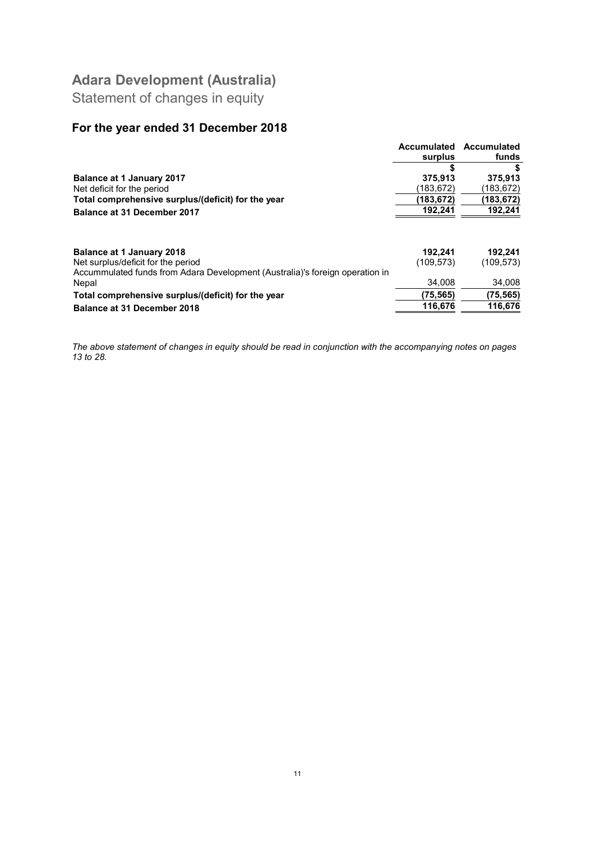Statement of changes in equity

### For the year ended 31 December 2018

|                                                                                                                                                        | Accumulated           | Accumulated          |
|--------------------------------------------------------------------------------------------------------------------------------------------------------|-----------------------|----------------------|
|                                                                                                                                                        | surplus               | funds                |
|                                                                                                                                                        |                       |                      |
| <b>Balance at 1 January 2017</b>                                                                                                                       | 375,913               | 375,913              |
| Net deficit for the period                                                                                                                             | (183,672)             | (183,672)            |
| Total comprehensive surplus/(deficit) for the year                                                                                                     | (183,672)             | (183,672)            |
| <b>Balance at 31 December 2017</b>                                                                                                                     | 192,241               | 192,241              |
| <b>Balance at 1 January 2018</b><br>Net surplus/deficit for the period<br>Accummulated funds from Adara Development (Australia)'s foreign operation in | 192.241<br>(109, 573) | 192.241<br>(109,573) |
| Nepal                                                                                                                                                  | 34.008                | 34,008               |
| Total comprehensive surplus/(deficit) for the year                                                                                                     | (75, 565)             | (75, 565)            |
| <b>Balance at 31 December 2018</b>                                                                                                                     | 116,676               | 116,676              |

The above statement of changes in equity should be read in conjunction with the accompanying notes on pages 13 to 28.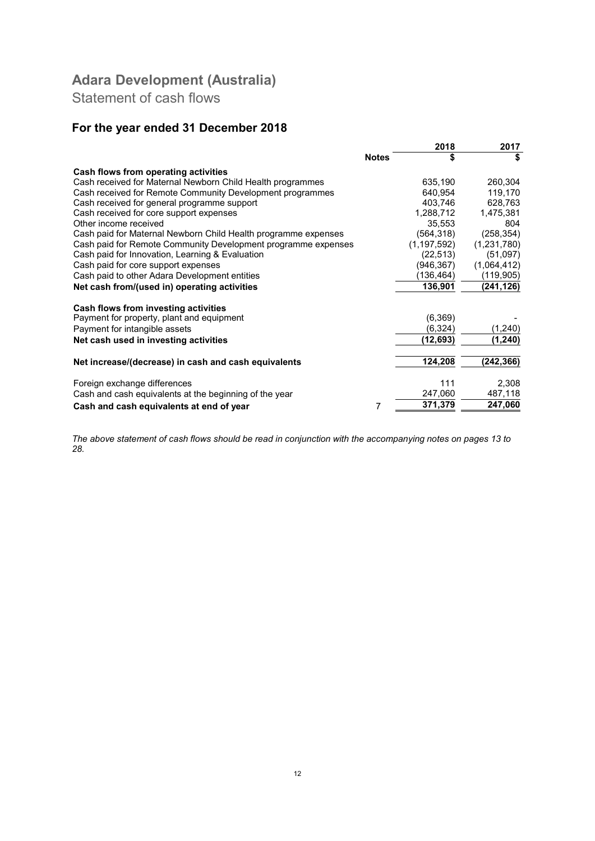Statement of cash flows

### For the year ended 31 December 2018

|                                                                |              | 2018          | 2017        |
|----------------------------------------------------------------|--------------|---------------|-------------|
|                                                                | <b>Notes</b> | \$            | \$          |
| Cash flows from operating activities                           |              |               |             |
| Cash received for Maternal Newborn Child Health programmes     |              | 635,190       | 260,304     |
| Cash received for Remote Community Development programmes      |              | 640.954       | 119,170     |
| Cash received for general programme support                    |              | 403,746       | 628,763     |
| Cash received for core support expenses                        |              | 1,288,712     | 1,475,381   |
| Other income received                                          |              | 35.553        | 804         |
| Cash paid for Maternal Newborn Child Health programme expenses |              | (564, 318)    | (258, 354)  |
| Cash paid for Remote Community Development programme expenses  |              | (1, 197, 592) | (1,231,780) |
| Cash paid for Innovation, Learning & Evaluation                |              | (22, 513)     | (51,097)    |
| Cash paid for core support expenses                            |              | (946, 367)    | (1,064,412) |
| Cash paid to other Adara Development entities                  |              | (136,464)     | (119,905)   |
| Net cash from/(used in) operating activities                   |              | 136,901       | (241,126)   |
| Cash flows from investing activities                           |              |               |             |
| Payment for property, plant and equipment                      |              | (6, 369)      |             |
| Payment for intangible assets                                  |              | (6,324)       | (1,240)     |
| Net cash used in investing activities                          |              | (12,693)      | (1,240)     |
|                                                                |              |               |             |
| Net increase/(decrease) in cash and cash equivalents           |              | 124,208       | (242,366)   |
| Foreign exchange differences                                   |              | 111           | 2,308       |
|                                                                |              | 247,060       | 487,118     |
| Cash and cash equivalents at the beginning of the year         |              |               |             |
| Cash and cash equivalents at end of year                       | 7            | 371,379       | 247,060     |

The above statement of cash flows should be read in conjunction with the accompanying notes on pages 13 to 28.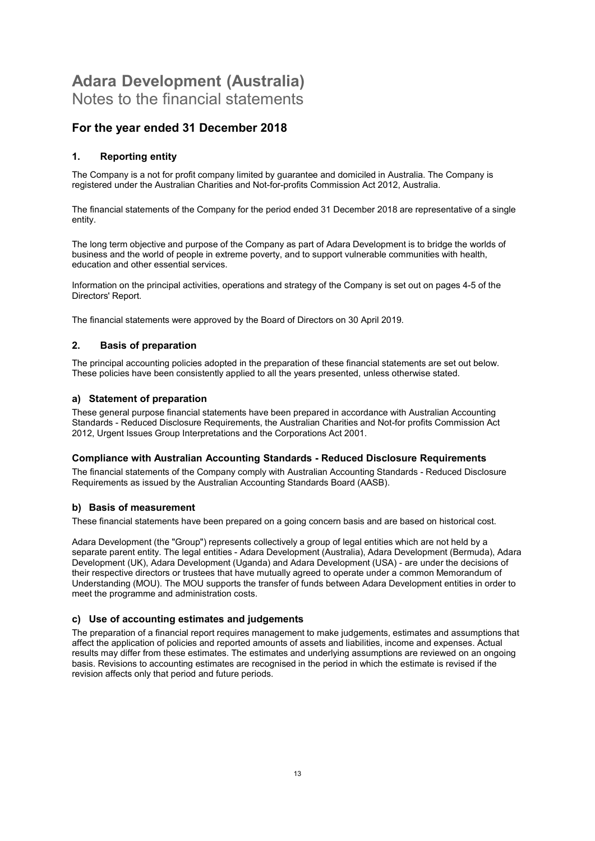#### For the year ended 31 December 2018

#### 1. Reporting entity

The Company is a not for profit company limited by guarantee and domiciled in Australia. The Company is registered under the Australian Charities and Not-for-profits Commission Act 2012, Australia.

The financial statements of the Company for the period ended 31 December 2018 are representative of a single entity.

The long term objective and purpose of the Company as part of Adara Development is to bridge the worlds of business and the world of people in extreme poverty, and to support vulnerable communities with health, education and other essential services.

Information on the principal activities, operations and strategy of the Company is set out on pages 4-5 of the Directors' Report.

The financial statements were approved by the Board of Directors on 30 April 2019.

#### 2. Basis of preparation

The principal accounting policies adopted in the preparation of these financial statements are set out below. These policies have been consistently applied to all the years presented, unless otherwise stated.

#### a) Statement of preparation

These general purpose financial statements have been prepared in accordance with Australian Accounting Standards - Reduced Disclosure Requirements, the Australian Charities and Not-for profits Commission Act 2012, Urgent Issues Group Interpretations and the Corporations Act 2001.

#### Compliance with Australian Accounting Standards - Reduced Disclosure Requirements

The financial statements of the Company comply with Australian Accounting Standards - Reduced Disclosure Requirements as issued by the Australian Accounting Standards Board (AASB).

#### b) Basis of measurement

These financial statements have been prepared on a going concern basis and are based on historical cost.

Adara Development (the "Group") represents collectively a group of legal entities which are not held by a separate parent entity. The legal entities - Adara Development (Australia), Adara Development (Bermuda), Adara Development (UK), Adara Development (Uganda) and Adara Development (USA) - are under the decisions of their respective directors or trustees that have mutually agreed to operate under a common Memorandum of Understanding (MOU). The MOU supports the transfer of funds between Adara Development entities in order to meet the programme and administration costs.

#### c) Use of accounting estimates and judgements

The preparation of a financial report requires management to make judgements, estimates and assumptions that affect the application of policies and reported amounts of assets and liabilities, income and expenses. Actual results may differ from these estimates. The estimates and underlying assumptions are reviewed on an ongoing basis. Revisions to accounting estimates are recognised in the period in which the estimate is revised if the revision affects only that period and future periods.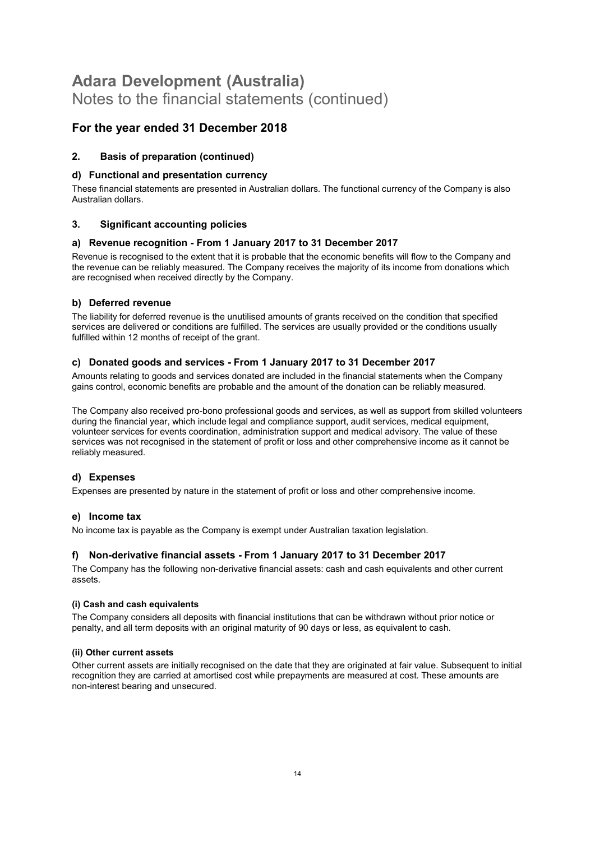#### For the year ended 31 December 2018

#### 2. Basis of preparation (continued)

#### d) Functional and presentation currency

These financial statements are presented in Australian dollars. The functional currency of the Company is also Australian dollars.

#### 3. Significant accounting policies

#### a) Revenue recognition - From 1 January 2017 to 31 December 2017

Revenue is recognised to the extent that it is probable that the economic benefits will flow to the Company and the revenue can be reliably measured. The Company receives the majority of its income from donations which are recognised when received directly by the Company.

#### b) Deferred revenue

The liability for deferred revenue is the unutilised amounts of grants received on the condition that specified services are delivered or conditions are fulfilled. The services are usually provided or the conditions usually fulfilled within 12 months of receipt of the grant.

#### c) Donated goods and services - From 1 January 2017 to 31 December 2017

Amounts relating to goods and services donated are included in the financial statements when the Company gains control, economic benefits are probable and the amount of the donation can be reliably measured.

The Company also received pro-bono professional goods and services, as well as support from skilled volunteers during the financial year, which include legal and compliance support, audit services, medical equipment, volunteer services for events coordination, administration support and medical advisory. The value of these services was not recognised in the statement of profit or loss and other comprehensive income as it cannot be reliably measured.

#### d) Expenses

Expenses are presented by nature in the statement of profit or loss and other comprehensive income.

#### e) Income tax

No income tax is payable as the Company is exempt under Australian taxation legislation.

#### f) Non-derivative financial assets - From 1 January 2017 to 31 December 2017

The Company has the following non-derivative financial assets: cash and cash equivalents and other current assets.

#### (i) Cash and cash equivalents

The Company considers all deposits with financial institutions that can be withdrawn without prior notice or penalty, and all term deposits with an original maturity of 90 days or less, as equivalent to cash.

#### (ii) Other current assets

Other current assets are initially recognised on the date that they are originated at fair value. Subsequent to initial recognition they are carried at amortised cost while prepayments are measured at cost. These amounts are non-interest bearing and unsecured.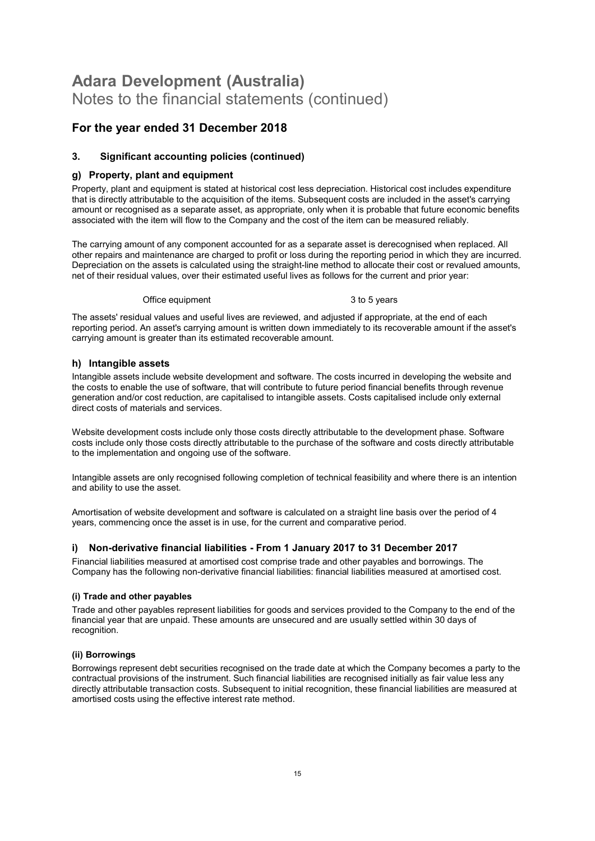#### For the year ended 31 December 2018

#### 3. Significant accounting policies (continued)

#### g) Property, plant and equipment

Property, plant and equipment is stated at historical cost less depreciation. Historical cost includes expenditure that is directly attributable to the acquisition of the items. Subsequent costs are included in the asset's carrying amount or recognised as a separate asset, as appropriate, only when it is probable that future economic benefits associated with the item will flow to the Company and the cost of the item can be measured reliably.

The carrying amount of any component accounted for as a separate asset is derecognised when replaced. All other repairs and maintenance are charged to profit or loss during the reporting period in which they are incurred. Depreciation on the assets is calculated using the straight-line method to allocate their cost or revalued amounts, net of their residual values, over their estimated useful lives as follows for the current and prior year:

#### Office equipment 3 to 5 years

The assets' residual values and useful lives are reviewed, and adjusted if appropriate, at the end of each reporting period. An asset's carrying amount is written down immediately to its recoverable amount if the asset's carrying amount is greater than its estimated recoverable amount.

#### h) Intangible assets

Intangible assets include website development and software. The costs incurred in developing the website and the costs to enable the use of software, that will contribute to future period financial benefits through revenue generation and/or cost reduction, are capitalised to intangible assets. Costs capitalised include only external direct costs of materials and services.

Website development costs include only those costs directly attributable to the development phase. Software costs include only those costs directly attributable to the purchase of the software and costs directly attributable to the implementation and ongoing use of the software.

Intangible assets are only recognised following completion of technical feasibility and where there is an intention and ability to use the asset.

Amortisation of website development and software is calculated on a straight line basis over the period of 4 years, commencing once the asset is in use, for the current and comparative period.

#### i) Non-derivative financial liabilities - From 1 January 2017 to 31 December 2017

Financial liabilities measured at amortised cost comprise trade and other payables and borrowings. The Company has the following non-derivative financial liabilities: financial liabilities measured at amortised cost.

#### (i) Trade and other payables

Trade and other payables represent liabilities for goods and services provided to the Company to the end of the financial year that are unpaid. These amounts are unsecured and are usually settled within 30 days of recognition.

#### (ii) Borrowings

Borrowings represent debt securities recognised on the trade date at which the Company becomes a party to the contractual provisions of the instrument. Such financial liabilities are recognised initially as fair value less any directly attributable transaction costs. Subsequent to initial recognition, these financial liabilities are measured at amortised costs using the effective interest rate method.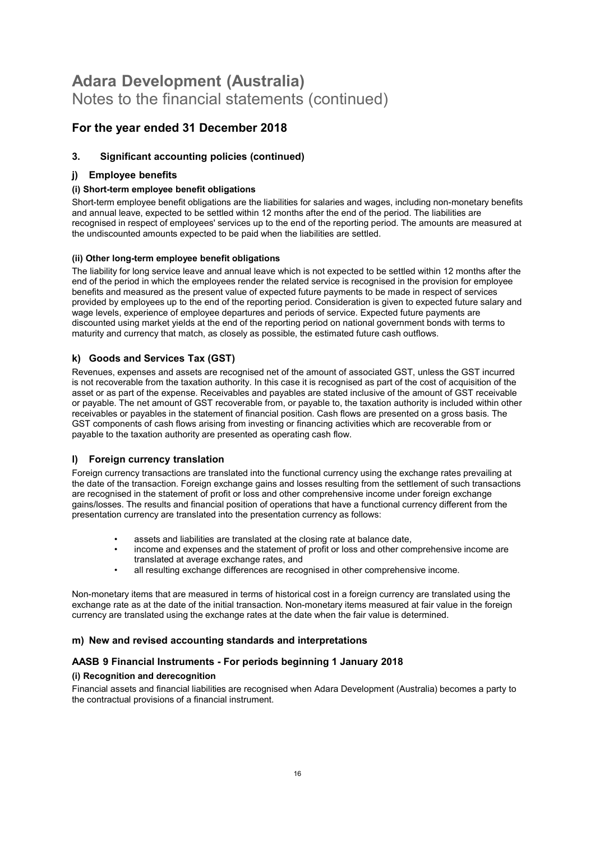#### For the year ended 31 December 2018

#### 3. Significant accounting policies (continued)

#### j) Employee benefits

#### (i) Short-term employee benefit obligations

Short-term employee benefit obligations are the liabilities for salaries and wages, including non-monetary benefits and annual leave, expected to be settled within 12 months after the end of the period. The liabilities are recognised in respect of employees' services up to the end of the reporting period. The amounts are measured at the undiscounted amounts expected to be paid when the liabilities are settled.

#### (ii) Other long-term employee benefit obligations

The liability for long service leave and annual leave which is not expected to be settled within 12 months after the end of the period in which the employees render the related service is recognised in the provision for employee benefits and measured as the present value of expected future payments to be made in respect of services provided by employees up to the end of the reporting period. Consideration is given to expected future salary and wage levels, experience of employee departures and periods of service. Expected future payments are discounted using market yields at the end of the reporting period on national government bonds with terms to maturity and currency that match, as closely as possible, the estimated future cash outflows.

#### k) Goods and Services Tax (GST)

Revenues, expenses and assets are recognised net of the amount of associated GST, unless the GST incurred is not recoverable from the taxation authority. In this case it is recognised as part of the cost of acquisition of the asset or as part of the expense. Receivables and payables are stated inclusive of the amount of GST receivable or payable. The net amount of GST recoverable from, or payable to, the taxation authority is included within other receivables or payables in the statement of financial position. Cash flows are presented on a gross basis. The GST components of cash flows arising from investing or financing activities which are recoverable from or payable to the taxation authority are presented as operating cash flow.

#### l) Foreign currency translation

Foreign currency transactions are translated into the functional currency using the exchange rates prevailing at the date of the transaction. Foreign exchange gains and losses resulting from the settlement of such transactions are recognised in the statement of profit or loss and other comprehensive income under foreign exchange gains/losses. The results and financial position of operations that have a functional currency different from the presentation currency are translated into the presentation currency as follows:

- assets and liabilities are translated at the closing rate at balance date,
- income and expenses and the statement of profit or loss and other comprehensive income are translated at average exchange rates, and
- all resulting exchange differences are recognised in other comprehensive income.

Non-monetary items that are measured in terms of historical cost in a foreign currency are translated using the exchange rate as at the date of the initial transaction. Non-monetary items measured at fair value in the foreign currency are translated using the exchange rates at the date when the fair value is determined.

#### m) New and revised accounting standards and interpretations

#### AASB 9 Financial Instruments - For periods beginning 1 January 2018

#### (i) Recognition and derecognition

Financial assets and financial liabilities are recognised when Adara Development (Australia) becomes a party to the contractual provisions of a financial instrument.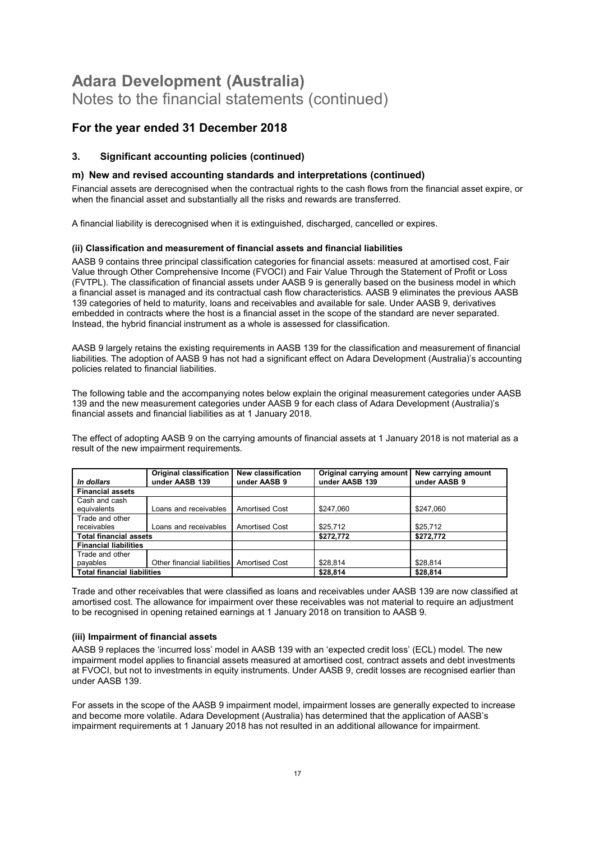#### For the year ended 31 December 2018

#### 3. Significant accounting policies (continued)

#### m) New and revised accounting standards and interpretations (continued)

Financial assets are derecognised when the contractual rights to the cash flows from the financial asset expire, or when the financial asset and substantially all the risks and rewards are transferred.

A financial liability is derecognised when it is extinguished, discharged, cancelled or expires.

#### (ii) Classification and measurement of financial assets and financial liabilities

AASB 9 contains three principal classification categories for financial assets: measured at amortised cost, Fair Value through Other Comprehensive Income (FVOCI) and Fair Value Through the Statement of Profit or Loss (FVTPL). The classification of financial assets under AASB 9 is generally based on the business model in which a financial asset is managed and its contractual cash flow characteristics. AASB 9 eliminates the previous AASB 139 categories of held to maturity, loans and receivables and available for sale. Under AASB 9, derivatives embedded in contracts where the host is a financial asset in the scope of the standard are never separated. Instead, the hybrid financial instrument as a whole is assessed for classification.

AASB 9 largely retains the existing requirements in AASB 139 for the classification and measurement of financial liabilities. The adoption of AASB 9 has not had a significant effect on Adara Development (Australia)'s accounting policies related to financial liabilities.

The following table and the accompanying notes below explain the original measurement categories under AASB 139 and the new measurement categories under AASB 9 for each class of Adara Development (Australia)'s financial assets and financial liabilities as at 1 January 2018.

The effect of adopting AASB 9 on the carrying amounts of financial assets at 1 January 2018 is not material as a result of the new impairment requirements.

| In dollars                         | <b>Original classification</b><br>under AASB 139 | New classification<br>under AASB 9 | Original carrying amount<br>under AASB 139 | New carrying amount<br>under AASB 9 |
|------------------------------------|--------------------------------------------------|------------------------------------|--------------------------------------------|-------------------------------------|
|                                    |                                                  |                                    |                                            |                                     |
| <b>Financial assets</b>            |                                                  |                                    |                                            |                                     |
| Cash and cash                      |                                                  |                                    |                                            |                                     |
| equivalents                        | Loans and receivables                            | <b>Amortised Cost</b>              | \$247.060                                  | \$247.060                           |
| Trade and other                    |                                                  |                                    |                                            |                                     |
| receivables                        | Loans and receivables                            | <b>Amortised Cost</b>              | \$25,712                                   | \$25,712                            |
| <b>Total financial assets</b>      |                                                  |                                    | \$272,772                                  | \$272,772                           |
| <b>Financial liabilities</b>       |                                                  |                                    |                                            |                                     |
| Trade and other                    |                                                  |                                    |                                            |                                     |
| payables                           | Other financial liabilities Amortised Cost       |                                    | \$28,814                                   | \$28,814                            |
| <b>Total financial liabilities</b> |                                                  |                                    | \$28,814                                   | \$28,814                            |

Trade and other receivables that were classified as loans and receivables under AASB 139 are now classified at amortised cost. The allowance for impairment over these receivables was not material to require an adjustment to be recognised in opening retained earnings at 1 January 2018 on transition to AASB 9.

#### (iii) Impairment of financial assets

AASB 9 replaces the 'incurred loss' model in AASB 139 with an 'expected credit loss' (ECL) model. The new impairment model applies to financial assets measured at amortised cost, contract assets and debt investments at FVOCI, but not to investments in equity instruments. Under AASB 9, credit losses are recognised earlier than under AASB 139.

For assets in the scope of the AASB 9 impairment model, impairment losses are generally expected to increase and become more volatile. Adara Development (Australia) has determined that the application of AASB's impairment requirements at 1 January 2018 has not resulted in an additional allowance for impairment.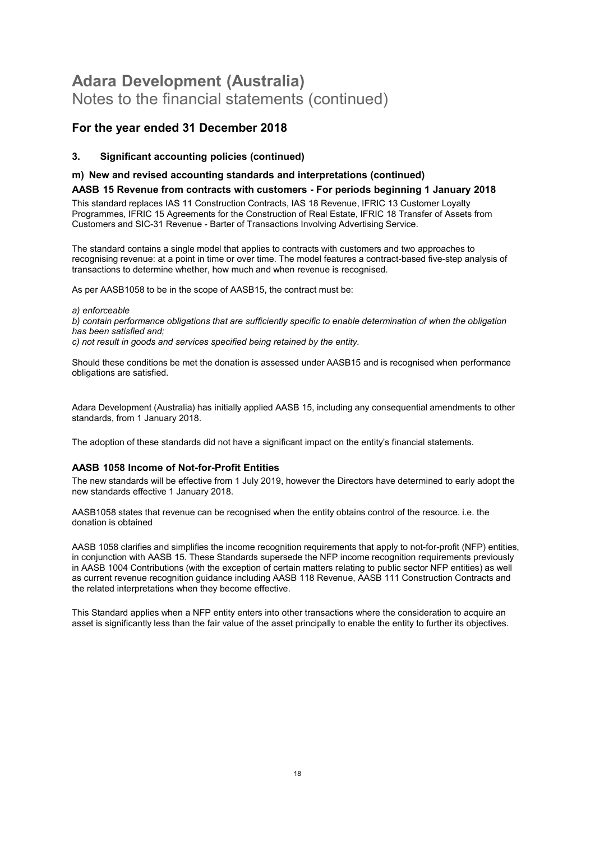#### For the year ended 31 December 2018

#### 3. Significant accounting policies (continued)

#### m) New and revised accounting standards and interpretations (continued)

#### AASB 15 Revenue from contracts with customers - For periods beginning 1 January 2018

This standard replaces IAS 11 Construction Contracts, IAS 18 Revenue, IFRIC 13 Customer Loyalty Programmes, IFRIC 15 Agreements for the Construction of Real Estate, IFRIC 18 Transfer of Assets from Customers and SIC-31 Revenue - Barter of Transactions Involving Advertising Service.

The standard contains a single model that applies to contracts with customers and two approaches to recognising revenue: at a point in time or over time. The model features a contract-based five-step analysis of transactions to determine whether, how much and when revenue is recognised.

As per AASB1058 to be in the scope of AASB15, the contract must be:

a) enforceable b) contain performance obligations that are sufficiently specific to enable determination of when the obligation has been satisfied and; c) not result in goods and services specified being retained by the entity.

Should these conditions be met the donation is assessed under AASB15 and is recognised when performance obligations are satisfied.

Adara Development (Australia) has initially applied AASB 15, including any consequential amendments to other standards, from 1 January 2018.

The adoption of these standards did not have a significant impact on the entity's financial statements.

#### AASB 1058 Income of Not-for-Profit Entities

The new standards will be effective from 1 July 2019, however the Directors have determined to early adopt the new standards effective 1 January 2018.

AASB1058 states that revenue can be recognised when the entity obtains control of the resource. i.e. the donation is obtained

AASB 1058 clarifies and simplifies the income recognition requirements that apply to not-for-profit (NFP) entities, in conjunction with AASB 15. These Standards supersede the NFP income recognition requirements previously in AASB 1004 Contributions (with the exception of certain matters relating to public sector NFP entities) as well as current revenue recognition guidance including AASB 118 Revenue, AASB 111 Construction Contracts and the related interpretations when they become effective.

This Standard applies when a NFP entity enters into other transactions where the consideration to acquire an asset is significantly less than the fair value of the asset principally to enable the entity to further its objectives.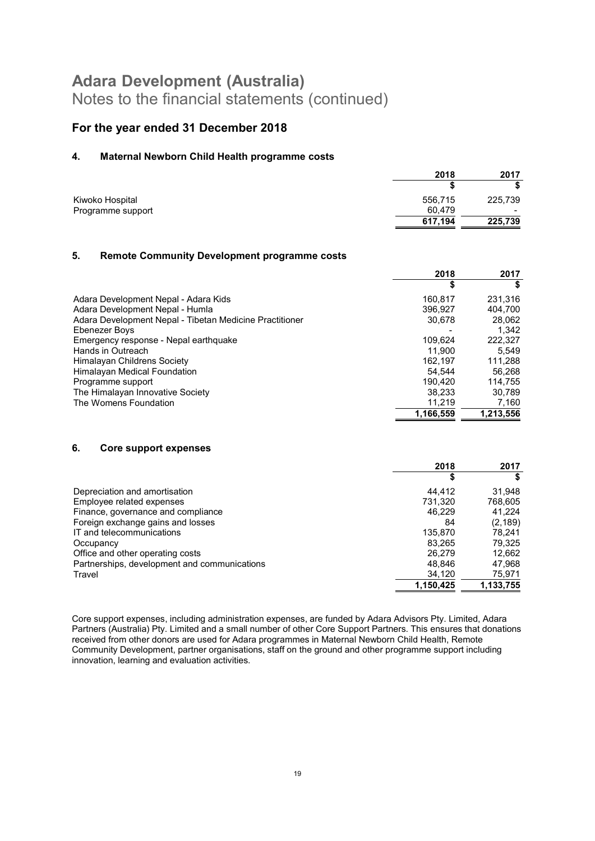#### For the year ended 31 December 2018

#### 4. Maternal Newborn Child Health programme costs

|                   | 2018    | 2017    |
|-------------------|---------|---------|
|                   |         |         |
| Kiwoko Hospital   | 556,715 | 225,739 |
| Programme support | 60,479  | -       |
|                   | 617,194 | 225,739 |

#### 5. Remote Community Development programme costs

|                                                         | 2018      | 2017      |
|---------------------------------------------------------|-----------|-----------|
|                                                         | \$        | S         |
| Adara Development Nepal - Adara Kids                    | 160.817   | 231.316   |
| Adara Development Nepal - Humla                         | 396.927   | 404.700   |
| Adara Development Nepal - Tibetan Medicine Practitioner | 30,678    | 28,062    |
| Ebenezer Boys                                           |           | 1.342     |
| Emergency response - Nepal earthquake                   | 109.624   | 222.327   |
| Hands in Outreach                                       | 11.900    | 5.549     |
| Himalayan Childrens Society                             | 162.197   | 111.288   |
| Himalayan Medical Foundation                            | 54.544    | 56.268    |
| Programme support                                       | 190.420   | 114.755   |
| The Himalayan Innovative Society                        | 38.233    | 30,789    |
| The Womens Foundation                                   | 11,219    | 7,160     |
|                                                         | 1,166,559 | 1.213.556 |

#### 6. Core support expenses

|                                              | 2018      | 2017      |
|----------------------------------------------|-----------|-----------|
|                                              |           |           |
| Depreciation and amortisation                | 44.412    | 31,948    |
| Employee related expenses                    | 731,320   | 768,605   |
| Finance, governance and compliance           | 46.229    | 41.224    |
| Foreign exchange gains and losses            | 84        | (2, 189)  |
| IT and telecommunications                    | 135,870   | 78.241    |
| Occupancy                                    | 83.265    | 79,325    |
| Office and other operating costs             | 26,279    | 12,662    |
| Partnerships, development and communications | 48.846    | 47,968    |
| Travel                                       | 34,120    | 75,971    |
|                                              | 1,150,425 | 1,133,755 |

Core support expenses, including administration expenses, are funded by Adara Advisors Pty. Limited, Adara Partners (Australia) Pty. Limited and a small number of other Core Support Partners. This ensures that donations received from other donors are used for Adara programmes in Maternal Newborn Child Health, Remote Community Development, partner organisations, staff on the ground and other programme support including innovation, learning and evaluation activities.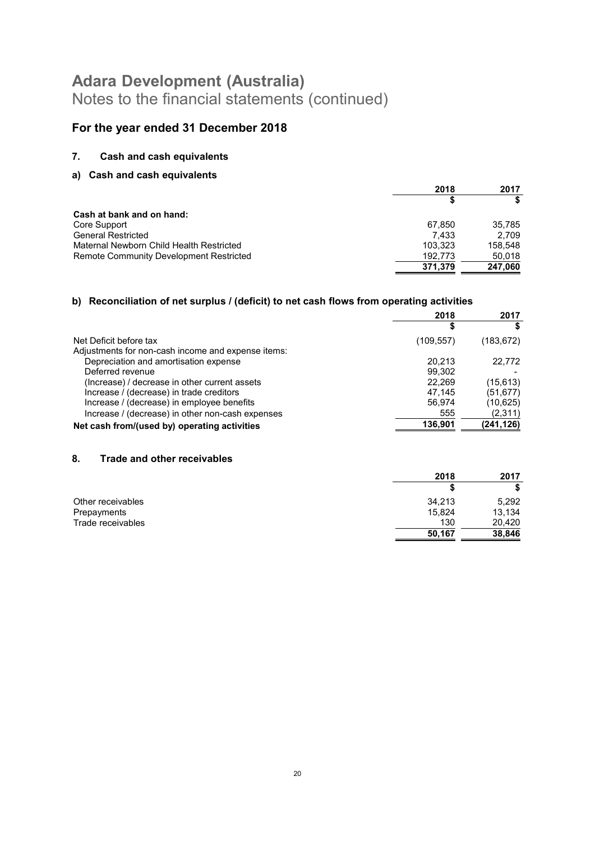### For the year ended 31 December 2018

#### 7. Cash and cash equivalents

#### a) Cash and cash equivalents

|                                                | 2018    | 2017    |
|------------------------------------------------|---------|---------|
|                                                |         |         |
| <b>Cash at bank and on hand:</b>               |         |         |
| Core Support                                   | 67.850  | 35.785  |
| <b>General Restricted</b>                      | 7.433   | 2.709   |
| Maternal Newborn Child Health Restricted       | 103,323 | 158,548 |
| <b>Remote Community Development Restricted</b> | 192.773 | 50.018  |
|                                                | 371,379 | 247.060 |

#### b) Reconciliation of net surplus / (deficit) to net cash flows from operating activities

|                                                    | 2018       | 2017       |
|----------------------------------------------------|------------|------------|
|                                                    |            |            |
| Net Deficit before tax                             | (109, 557) | (183,672)  |
| Adjustments for non-cash income and expense items: |            |            |
| Depreciation and amortisation expense              | 20.213     | 22.772     |
| Deferred revenue                                   | 99.302     |            |
| (Increase) / decrease in other current assets      | 22.269     | (15, 613)  |
| Increase / (decrease) in trade creditors           | 47.145     | (51,677)   |
| Increase / (decrease) in employee benefits         | 56.974     | (10,625)   |
| Increase / (decrease) in other non-cash expenses   | 555        | (2,311)    |
| Net cash from/(used by) operating activities       | 136,901    | (241, 126) |

#### 8. Trade and other receivables

|                   | 2018   | 2017   |
|-------------------|--------|--------|
|                   |        |        |
| Other receivables | 34.213 | 5,292  |
| Prepayments       | 15,824 | 13,134 |
| Trade receivables | 130    | 20,420 |
|                   | 50,167 | 38,846 |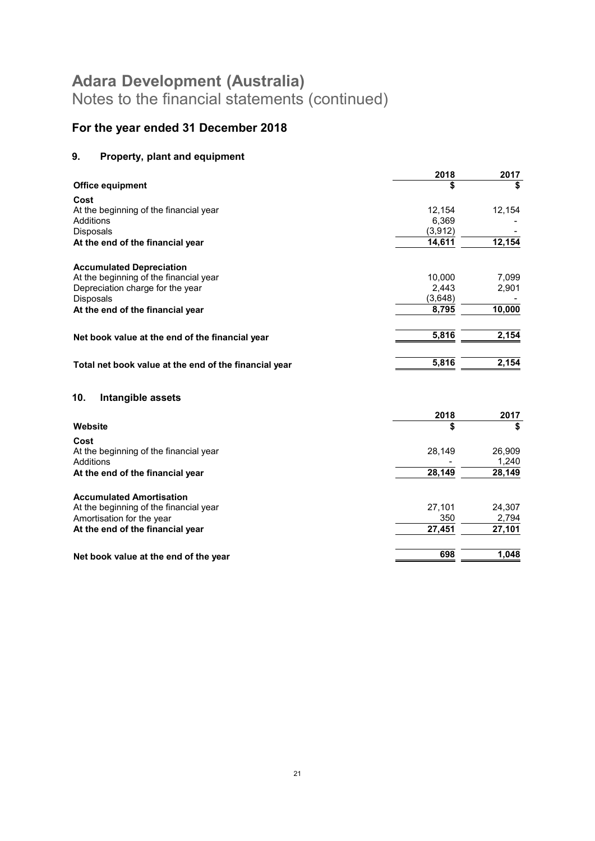### For the year ended 31 December 2018

### 9. Property, plant and equipment

|                                                                           | 2018     | 2017   |
|---------------------------------------------------------------------------|----------|--------|
| <b>Office equipment</b>                                                   |          | \$     |
| Cost                                                                      |          |        |
| At the beginning of the financial year                                    | 12,154   | 12,154 |
| Additions                                                                 | 6,369    |        |
| <b>Disposals</b>                                                          | (3, 912) |        |
| At the end of the financial year                                          | 14,611   | 12,154 |
|                                                                           |          |        |
| <b>Accumulated Depreciation</b><br>At the beginning of the financial year | 10,000   | 7.099  |
| Depreciation charge for the year                                          | 2,443    | 2,901  |
| Disposals                                                                 | (3,648)  |        |
|                                                                           | 8,795    | 10,000 |
| At the end of the financial year                                          |          |        |
| Net book value at the end of the financial year                           | 5,816    | 2,154  |
|                                                                           |          |        |
| Total net book value at the end of the financial year                     | 5,816    | 2,154  |
| 10.<br>Intangible assets                                                  |          |        |
|                                                                           | 2018     | 2017   |
| Website                                                                   | \$       | \$     |
|                                                                           |          |        |
| Cost                                                                      |          |        |
| At the beginning of the financial year                                    | 28,149   | 26,909 |
| Additions                                                                 |          | 1,240  |
| At the end of the financial year                                          | 28,149   | 28,149 |
| <b>Accumulated Amortisation</b>                                           |          |        |
| At the beginning of the financial year                                    | 27,101   | 24,307 |
| Amortisation for the year                                                 | 350      | 2,794  |
| At the end of the financial year                                          | 27,451   | 27,101 |
| Net book value at the end of the year                                     | 698      | 1,048  |
|                                                                           |          |        |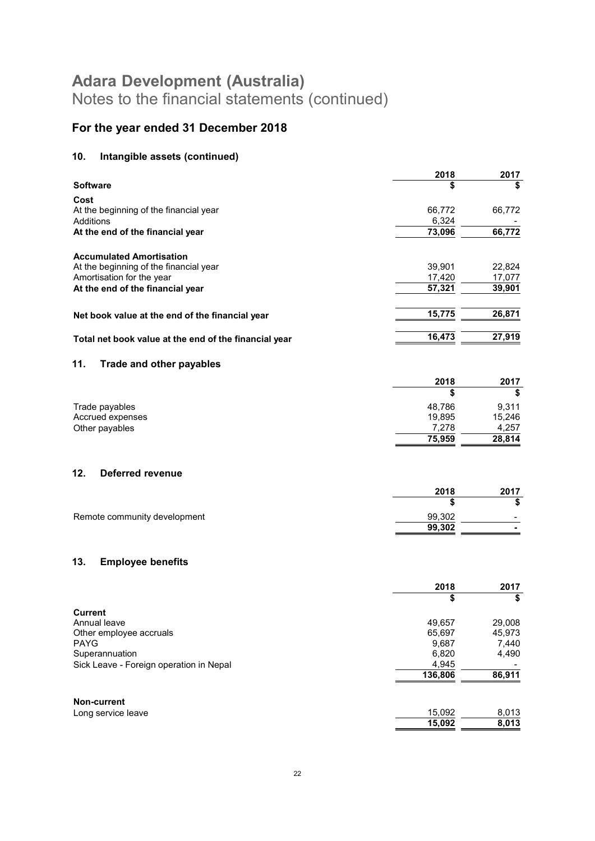### For the year ended 31 December 2018

### 10. Intangible assets (continued)

|                 |                                                       | 2018    | 2017   |
|-----------------|-------------------------------------------------------|---------|--------|
| <b>Software</b> |                                                       | \$      | \$     |
| Cost            |                                                       |         |        |
|                 | At the beginning of the financial year                | 66,772  | 66,772 |
| Additions       |                                                       | 6,324   |        |
|                 | At the end of the financial year                      | 73,096  | 66,772 |
|                 | <b>Accumulated Amortisation</b>                       |         |        |
|                 | At the beginning of the financial year                | 39,901  | 22,824 |
|                 | Amortisation for the year                             | 17,420  | 17,077 |
|                 | At the end of the financial year                      | 57,321  | 39,901 |
|                 | Net book value at the end of the financial year       | 15,775  | 26,871 |
|                 | Total net book value at the end of the financial year | 16,473  | 27,919 |
|                 |                                                       |         |        |
| 11.             | <b>Trade and other payables</b>                       |         |        |
|                 |                                                       | 2018    | 2017   |
|                 |                                                       | S       | \$     |
|                 | Trade payables                                        | 48,786  | 9,311  |
|                 | Accrued expenses                                      | 19,895  | 15,246 |
|                 | Other payables                                        | 7,278   | 4,257  |
|                 |                                                       | 75,959  | 28,814 |
| 12.             | <b>Deferred revenue</b>                               |         |        |
|                 |                                                       | 2018    | 2017   |
|                 |                                                       | \$      | \$     |
|                 | Remote community development                          | 99,302  |        |
|                 |                                                       | 99,302  |        |
|                 |                                                       |         |        |
| 13.             | <b>Employee benefits</b>                              |         |        |
|                 |                                                       | 2018    | 2017   |
|                 |                                                       | \$      | \$     |
| <b>Current</b>  | Annual leave                                          | 49,657  | 29,008 |
|                 | Other employee accruals                               | 65,697  | 45,973 |
| <b>PAYG</b>     |                                                       | 9,687   | 7,440  |
|                 | Superannuation                                        | 6,820   | 4,490  |
|                 | Sick Leave - Foreign operation in Nepal               | 4,945   |        |
|                 |                                                       | 136,806 | 86,911 |
|                 |                                                       |         |        |
|                 |                                                       |         |        |

|                    | 15.092 | 8.013 |
|--------------------|--------|-------|
| Long service leave | 15.092 | 8.013 |
| Non-current        |        |       |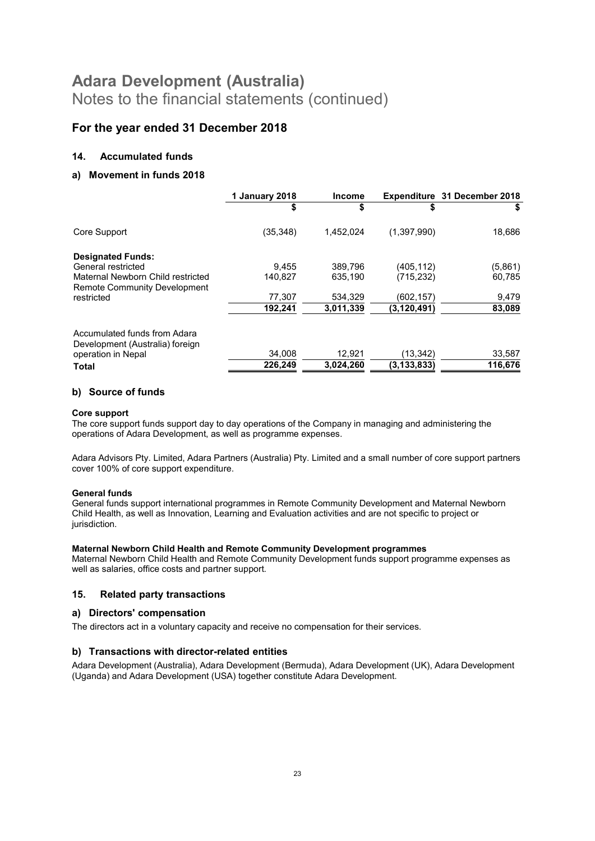#### For the year ended 31 December 2018

#### 14. Accumulated funds

#### a) Movement in funds 2018

|                                                                 | 1 January 2018 | <b>Income</b> |               | <b>Expenditure 31 December 2018</b> |
|-----------------------------------------------------------------|----------------|---------------|---------------|-------------------------------------|
|                                                                 | \$             | \$            | \$            |                                     |
| Core Support                                                    | (35, 348)      | 1,452,024     | (1,397,990)   | 18,686                              |
| <b>Designated Funds:</b>                                        |                |               |               |                                     |
| General restricted                                              | 9.455          | 389.796       | (405,112)     | (5,861)                             |
| Maternal Newborn Child restricted                               | 140.827        | 635.190       | (715,232)     | 60,785                              |
| <b>Remote Community Development</b>                             |                |               |               |                                     |
| restricted                                                      | 77,307         | 534.329       | (602,157)     | 9,479                               |
|                                                                 | 192.241        | 3.011.339     | (3, 120, 491) | 83,089                              |
| Accumulated funds from Adara<br>Development (Australia) foreign |                |               |               |                                     |
| operation in Nepal                                              | 34,008         | 12,921        | (13, 342)     | 33,587                              |
| <b>Total</b>                                                    | 226,249        | 3,024,260     | (3, 133, 833) | 116,676                             |

#### b) Source of funds

#### Core support

The core support funds support day to day operations of the Company in managing and administering the operations of Adara Development, as well as programme expenses.

Adara Advisors Pty. Limited, Adara Partners (Australia) Pty. Limited and a small number of core support partners cover 100% of core support expenditure.

#### General funds

General funds support international programmes in Remote Community Development and Maternal Newborn Child Health, as well as Innovation, Learning and Evaluation activities and are not specific to project or jurisdiction.

#### Maternal Newborn Child Health and Remote Community Development programmes

Maternal Newborn Child Health and Remote Community Development funds support programme expenses as well as salaries, office costs and partner support.

#### 15. Related party transactions

#### a) Directors' compensation

The directors act in a voluntary capacity and receive no compensation for their services.

#### b) Transactions with director-related entities

Adara Development (Australia), Adara Development (Bermuda), Adara Development (UK), Adara Development (Uganda) and Adara Development (USA) together constitute Adara Development.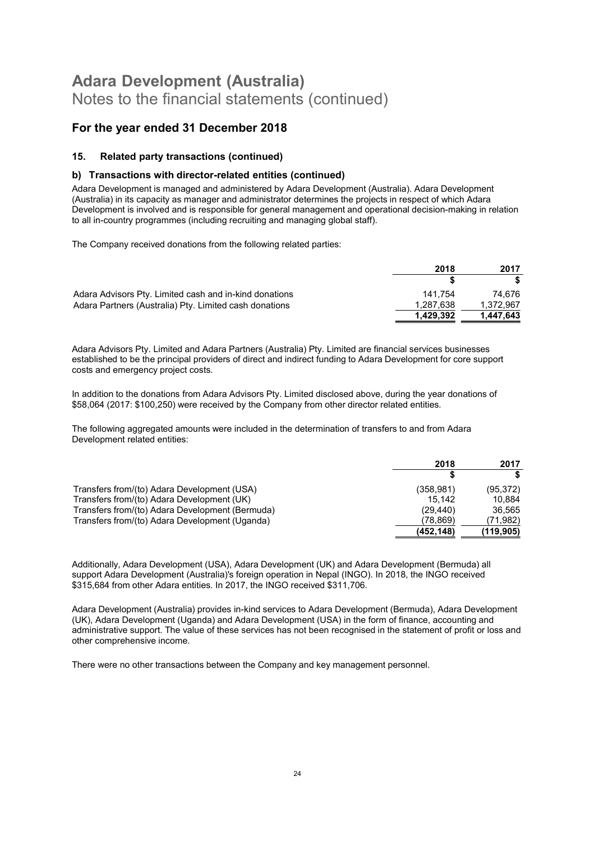#### For the year ended 31 December 2018

#### 15. Related party transactions (continued)

#### b) Transactions with director-related entities (continued)

Adara Development is managed and administered by Adara Development (Australia). Adara Development (Australia) in its capacity as manager and administrator determines the projects in respect of which Adara Development is involved and is responsible for general management and operational decision-making in relation to all in-country programmes (including recruiting and managing global staff).

The Company received donations from the following related parties:

|                                                        | 2018      | 2017      |
|--------------------------------------------------------|-----------|-----------|
|                                                        |           |           |
| Adara Advisors Pty. Limited cash and in-kind donations | 141.754   | 74.676    |
| Adara Partners (Australia) Pty. Limited cash donations | 1.287.638 | 1.372.967 |
|                                                        | 1.429.392 | 1.447.643 |

Adara Advisors Pty. Limited and Adara Partners (Australia) Pty. Limited are financial services businesses established to be the principal providers of direct and indirect funding to Adara Development for core support costs and emergency project costs.

In addition to the donations from Adara Advisors Pty. Limited disclosed above, during the year donations of \$58,064 (2017: \$100,250) were received by the Company from other director related entities.

The following aggregated amounts were included in the determination of transfers to and from Adara Development related entities:

|                                                 | 2018       | 2017      |
|-------------------------------------------------|------------|-----------|
|                                                 |            |           |
| Transfers from/(to) Adara Development (USA)     | (358, 981) | (95, 372) |
| Transfers from/(to) Adara Development (UK)      | 15.142     | 10.884    |
| Transfers from/(to) Adara Development (Bermuda) | (29.440)   | 36,565    |
| Transfers from/(to) Adara Development (Uganda)  | (78.869)   | 71,982)   |
|                                                 | (452, 148) | (119,905) |

Additionally, Adara Development (USA), Adara Development (UK) and Adara Development (Bermuda) all support Adara Development (Australia)'s foreign operation in Nepal (INGO). In 2018, the INGO received \$315,684 from other Adara entities. In 2017, the INGO received \$311,706.

Adara Development (Australia) provides in-kind services to Adara Development (Bermuda), Adara Development (UK), Adara Development (Uganda) and Adara Development (USA) in the form of finance, accounting and administrative support. The value of these services has not been recognised in the statement of profit or loss and other comprehensive income.

There were no other transactions between the Company and key management personnel.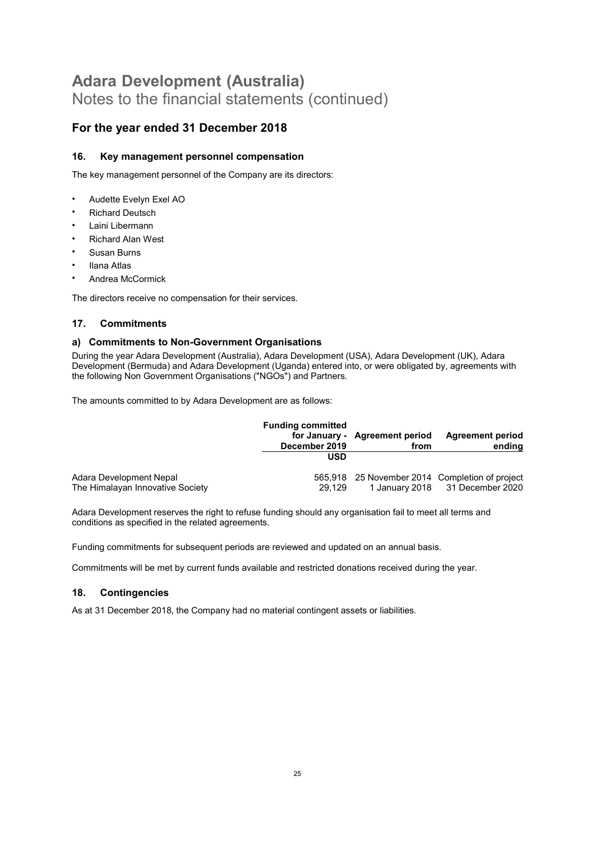#### For the year ended 31 December 2018

#### 16. Key management personnel compensation

The key management personnel of the Company are its directors:

- Audette Evelyn Exel AO
- **Richard Deutsch**
- Laini Libermann
- Richard Alan West
- Susan Burns
- Ilana Atlas
- Andrea McCormick

The directors receive no compensation for their services.

#### 17. Commitments

#### a) Commitments to Non-Government Organisations

During the year Adara Development (Australia), Adara Development (USA), Adara Development (UK), Adara Development (Bermuda) and Adara Development (Uganda) entered into, or were obligated by, agreements with the following Non Government Organisations ("NGOs") and Partners.

The amounts committed to by Adara Development are as follows:

|                                  | <b>Funding committed</b><br>December 2019 | for January - Agreement period<br>from | <b>Agreement period</b><br>ending              |
|----------------------------------|-------------------------------------------|----------------------------------------|------------------------------------------------|
|                                  | <b>USD</b>                                |                                        |                                                |
| Adara Development Nepal          |                                           |                                        | 565,918 25 November 2014 Completion of project |
| The Himalayan Innovative Society | 29.129                                    |                                        | 1 January 2018 31 December 2020                |

Adara Development reserves the right to refuse funding should any organisation fail to meet all terms and conditions as specified in the related agreements.

Funding commitments for subsequent periods are reviewed and updated on an annual basis.

Commitments will be met by current funds available and restricted donations received during the year.

#### 18. Contingencies

As at 31 December 2018, the Company had no material contingent assets or liabilities.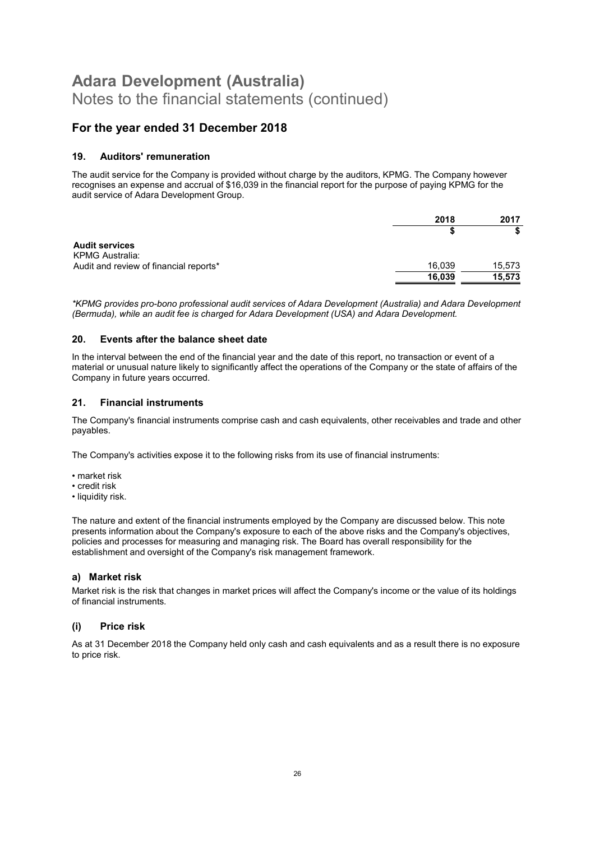#### For the year ended 31 December 2018

#### 19. Auditors' remuneration

The audit service for the Company is provided without charge by the auditors, KPMG. The Company however recognises an expense and accrual of \$16,039 in the financial report for the purpose of paying KPMG for the audit service of Adara Development Group.

|                                                 | 2018   | 2017   |
|-------------------------------------------------|--------|--------|
|                                                 |        |        |
| <b>Audit services</b><br><b>KPMG Australia:</b> |        |        |
| Audit and review of financial reports*          | 16,039 | 15,573 |
|                                                 | 16,039 | 15,573 |

\*KPMG provides pro-bono professional audit services of Adara Development (Australia) and Adara Development (Bermuda), while an audit fee is charged for Adara Development (USA) and Adara Development.

#### 20. Events after the balance sheet date

In the interval between the end of the financial year and the date of this report, no transaction or event of a material or unusual nature likely to significantly affect the operations of the Company or the state of affairs of the Company in future years occurred.

#### 21. Financial instruments

The Company's financial instruments comprise cash and cash equivalents, other receivables and trade and other payables.

The Company's activities expose it to the following risks from its use of financial instruments:

- market risk
- credit risk
- liquidity risk.

The nature and extent of the financial instruments employed by the Company are discussed below. This note presents information about the Company's exposure to each of the above risks and the Company's objectives, policies and processes for measuring and managing risk. The Board has overall responsibility for the establishment and oversight of the Company's risk management framework.

#### a) Market risk

Market risk is the risk that changes in market prices will affect the Company's income or the value of its holdings of financial instruments.

#### (i) Price risk

As at 31 December 2018 the Company held only cash and cash equivalents and as a result there is no exposure to price risk.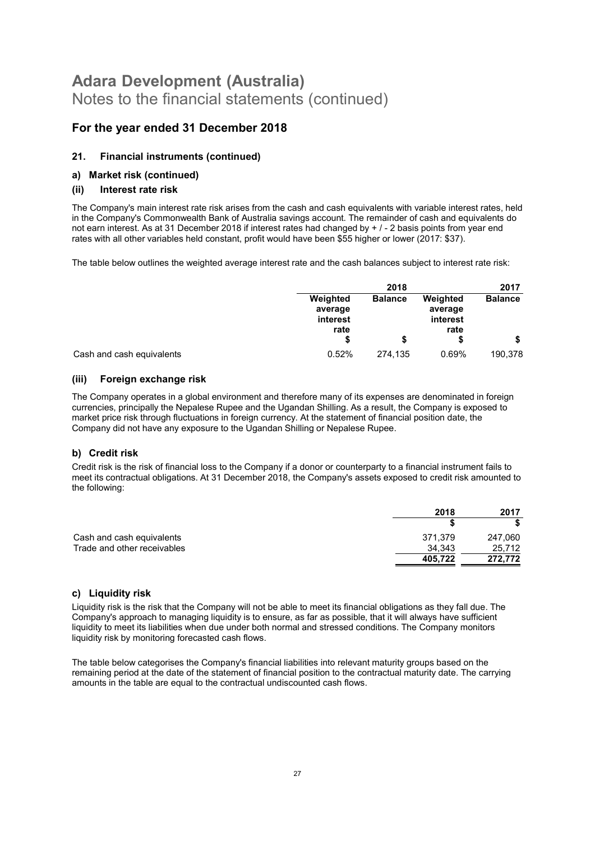#### For the year ended 31 December 2018

#### 21. Financial instruments (continued)

#### a) Market risk (continued)

#### (ii) Interest rate risk

The Company's main interest rate risk arises from the cash and cash equivalents with variable interest rates, held in the Company's Commonwealth Bank of Australia savings account. The remainder of cash and equivalents do not earn interest. As at 31 December 2018 if interest rates had changed by + / - 2 basis points from year end rates with all other variables held constant, profit would have been \$55 higher or lower (2017: \$37).

The table below outlines the weighted average interest rate and the cash balances subject to interest rate risk:

|                           |                                         | 2018           |                                         | 2017           |
|---------------------------|-----------------------------------------|----------------|-----------------------------------------|----------------|
|                           | Weighted<br>average<br>interest<br>rate | <b>Balance</b> | Weighted<br>average<br>interest<br>rate | <b>Balance</b> |
|                           |                                         |                |                                         |                |
| Cash and cash equivalents | 0.52%                                   | 274.135        | 0.69%                                   | 190,378        |

#### (iii) Foreign exchange risk

The Company operates in a global environment and therefore many of its expenses are denominated in foreign currencies, principally the Nepalese Rupee and the Ugandan Shilling. As a result, the Company is exposed to market price risk through fluctuations in foreign currency. At the statement of financial position date, the Company did not have any exposure to the Ugandan Shilling or Nepalese Rupee.

#### b) Credit risk

Credit risk is the risk of financial loss to the Company if a donor or counterparty to a financial instrument fails to meet its contractual obligations. At 31 December 2018, the Company's assets exposed to credit risk amounted to the following:

|                             | 2018    | 2017    |
|-----------------------------|---------|---------|
|                             |         |         |
| Cash and cash equivalents   | 371.379 | 247,060 |
| Trade and other receivables | 34.343  | 25,712  |
|                             | 405.722 | 272.772 |

#### c) Liquidity risk

Liquidity risk is the risk that the Company will not be able to meet its financial obligations as they fall due. The Company's approach to managing liquidity is to ensure, as far as possible, that it will always have sufficient liquidity to meet its liabilities when due under both normal and stressed conditions. The Company monitors liquidity risk by monitoring forecasted cash flows.

The table below categorises the Company's financial liabilities into relevant maturity groups based on the remaining period at the date of the statement of financial position to the contractual maturity date. The carrying amounts in the table are equal to the contractual undiscounted cash flows.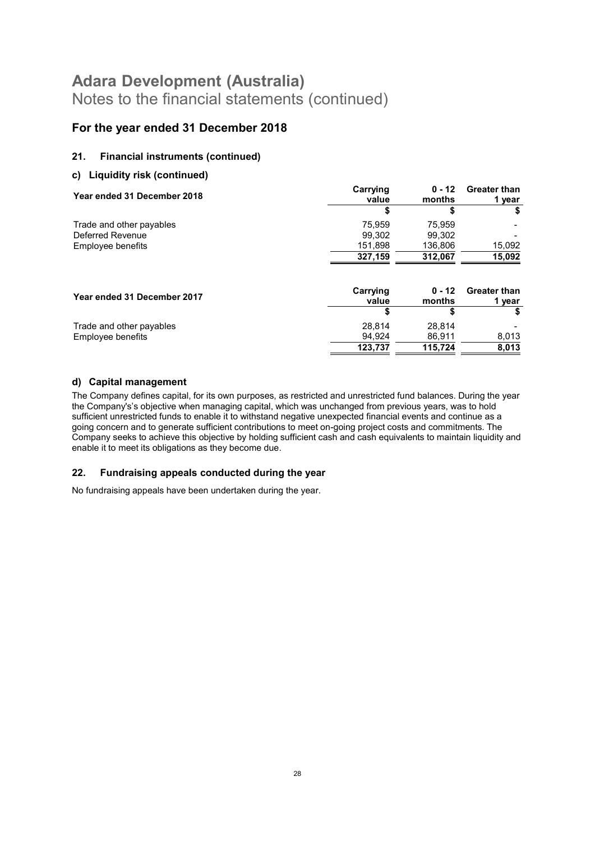#### For the year ended 31 December 2018

#### 21. Financial instruments (continued)

#### c) Liquidity risk (continued)

| Year ended 31 December 2018 | Carrying<br>value | $0 - 12$<br>months | <b>Greater than</b><br>1 year |
|-----------------------------|-------------------|--------------------|-------------------------------|
|                             | S                 | S                  |                               |
| Trade and other payables    | 75.959            | 75.959             |                               |
| Deferred Revenue            | 99.302            | 99.302             |                               |
| Employee benefits           | 151,898           | 136,806            | 15,092                        |
|                             | 327,159           | 312,067            | 15,092                        |
| Year ended 31 December 2017 | Carrying<br>value | $0 - 12$<br>months | <b>Greater than</b><br>1 year |
|                             | S                 | \$                 |                               |
| Trade and other payables    | 28.814            | 28.814             |                               |
| Employee benefits           | 94,924            | 86,911             | 8,013                         |
|                             | 123,737           | 115,724            | 8,013                         |

#### d) Capital management

The Company defines capital, for its own purposes, as restricted and unrestricted fund balances. During the year the Company's's objective when managing capital, which was unchanged from previous years, was to hold sufficient unrestricted funds to enable it to withstand negative unexpected financial events and continue as a going concern and to generate sufficient contributions to meet on-going project costs and commitments. The Company seeks to achieve this objective by holding sufficient cash and cash equivalents to maintain liquidity and enable it to meet its obligations as they become due.

#### 22. Fundraising appeals conducted during the year

No fundraising appeals have been undertaken during the year.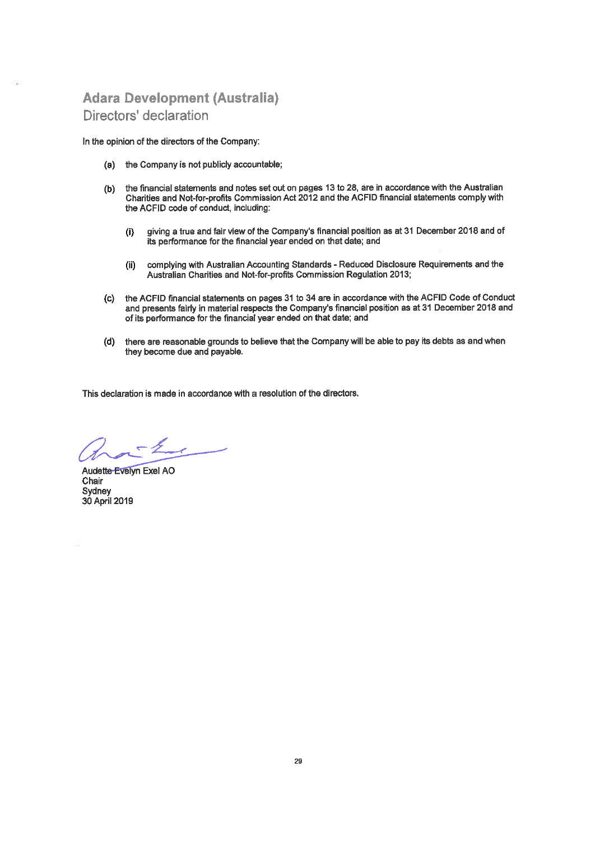### **Adara Development (Australia)** Directors' declaration

In the opinion of the directors of the Company:

- (a) the Company is not publicly accountable;
- (b) the financial statements and notes set out on pages 13 to 28, are in accordance with the Australian Charities and Not-for-profits Commission Act 2012 and the ACFID financial statements comply with the ACFID code of conduct, including:
	- giving a true and fair view of the Company's financial position as at 31 December 2018 and of  $(i)$ its performance for the financial year ended on that date; and
	- complying with Australian Accounting Standards Reduced Disclosure Requirements and the  $(ii)$ Australian Charities and Not-for-profits Commission Regulation 2013;
- (c) the ACFID financial statements on pages 31 to 34 are in accordance with the ACFID Code of Conduct and presents fairly in material respects the Company's financial position as at 31 December 2018 and of its performance for the financial year ended on that date; and
- (d) there are reasonable grounds to believe that the Company will be able to pay its debts as and when they become due and payable.

This declaration is made in accordance with a resolution of the directors.

Audette Evelyn Exel AO Chair Sydney 30 April 2019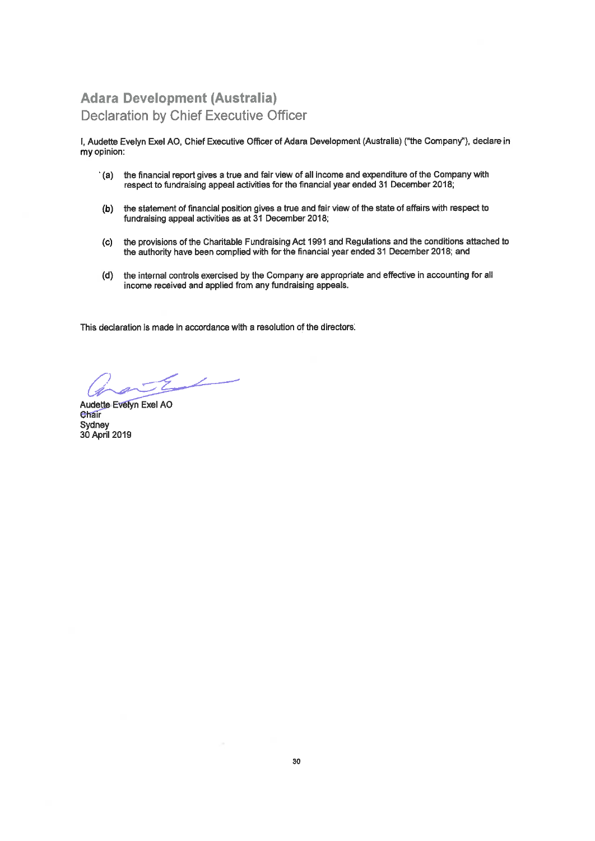### **Adara Development (Australia) Declaration by Chief Executive Officer**

I. Audette Evelyn Exel AO, Chief Executive Officer of Adara Development (Australia) ("the Company"), declare in my opinion:

- '(a) the financial report gives a true and fair view of all income and expenditure of the Company with respect to fundraising appeal activities for the financial year ended 31 December 2018;
- (b) the statement of financial position gives a true and fair view of the state of affairs with respect to fundraising appeal activities as at 31 December 2018;
- (c) the provisions of the Charitable Fundraising Act 1991 and Regulations and the conditions attached to the authority have been complied with for the financial year ended 31 December 2018; and
- (d) the internal controls exercised by the Company are appropriate and effective in accounting for all income received and applied from any fundraising appeals.

This declaration is made in accordance with a resolution of the directors.

 $-51$ 

Audette Evelyn Exel AO Chair Sydney 30 April 2019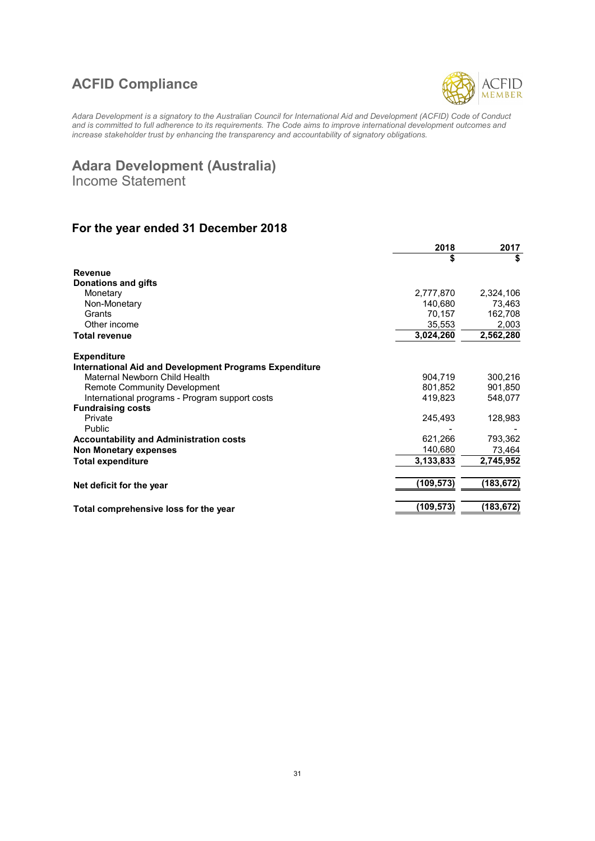### ACFID Compliance



Adara Development is a signatory to the Australian Council for International Aid and Development (ACFID) Code of Conduct and is committed to full adherence to its requirements. The Code aims to improve international development outcomes and increase stakeholder trust by enhancing the transparency and accountability of signatory obligations.

### Adara Development (Australia)

Income Statement

### For the year ended 31 December 2018

|                                                               | 2018       | 2017      |
|---------------------------------------------------------------|------------|-----------|
|                                                               | \$         | \$        |
| <b>Revenue</b>                                                |            |           |
| <b>Donations and gifts</b>                                    |            |           |
| Monetary                                                      | 2,777,870  | 2,324,106 |
| Non-Monetary                                                  | 140,680    | 73,463    |
| Grants                                                        | 70,157     | 162,708   |
| Other income                                                  | 35,553     | 2,003     |
| <b>Total revenue</b>                                          | 3,024,260  | 2,562,280 |
| <b>Expenditure</b>                                            |            |           |
| <b>International Aid and Development Programs Expenditure</b> |            |           |
| Maternal Newborn Child Health                                 | 904,719    | 300,216   |
| <b>Remote Community Development</b>                           | 801,852    | 901,850   |
| International programs - Program support costs                | 419,823    | 548,077   |
| <b>Fundraising costs</b>                                      |            |           |
| Private                                                       | 245,493    | 128,983   |
| Public                                                        |            |           |
| <b>Accountability and Administration costs</b>                | 621,266    | 793,362   |
| <b>Non Monetary expenses</b>                                  | 140,680    | 73,464    |
| <b>Total expenditure</b>                                      | 3,133,833  | 2,745,952 |
| Net deficit for the year                                      | (109, 573) | (183,672) |
|                                                               |            |           |
| Total comprehensive loss for the year                         | (109, 573) | (183,672) |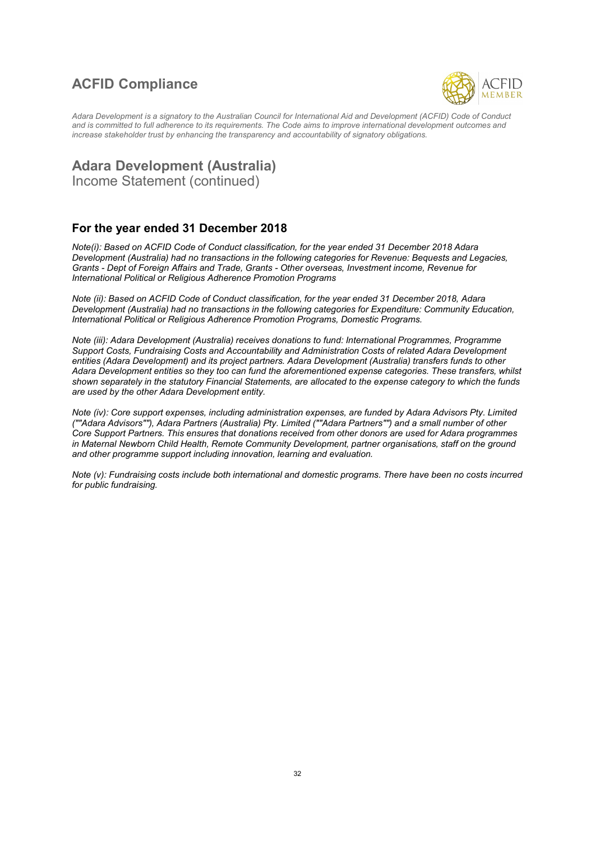### ACFID Compliance



Adara Development is a signatory to the Australian Council for International Aid and Development (ACFID) Code of Conduct and is committed to full adherence to its requirements. The Code aims to improve international development outcomes and increase stakeholder trust by enhancing the transparency and accountability of signatory obligations.

### Adara Development (Australia)

Income Statement (continued)

#### For the year ended 31 December 2018

Note(i): Based on ACFID Code of Conduct classification, for the year ended 31 December 2018 Adara Development (Australia) had no transactions in the following categories for Revenue: Bequests and Legacies, Grants - Dept of Foreign Affairs and Trade, Grants - Other overseas, Investment income, Revenue for International Political or Religious Adherence Promotion Programs

Note (ii): Based on ACFID Code of Conduct classification, for the year ended 31 December 2018, Adara Development (Australia) had no transactions in the following categories for Expenditure: Community Education, International Political or Religious Adherence Promotion Programs, Domestic Programs.

Note (iii): Adara Development (Australia) receives donations to fund: International Programmes, Programme Support Costs, Fundraising Costs and Accountability and Administration Costs of related Adara Development entities (Adara Development) and its project partners. Adara Development (Australia) transfers funds to other Adara Development entities so they too can fund the aforementioned expense categories. These transfers, whilst shown separately in the statutory Financial Statements, are allocated to the expense category to which the funds are used by the other Adara Development entity.

Note (iv): Core support expenses, including administration expenses, are funded by Adara Advisors Pty. Limited (""Adara Advisors""), Adara Partners (Australia) Pty. Limited (""Adara Partners"") and a small number of other Core Support Partners. This ensures that donations received from other donors are used for Adara programmes in Maternal Newborn Child Health, Remote Community Development, partner organisations, staff on the ground and other programme support including innovation, learning and evaluation.

Note (v): Fundraising costs include both international and domestic programs. There have been no costs incurred for public fundraising.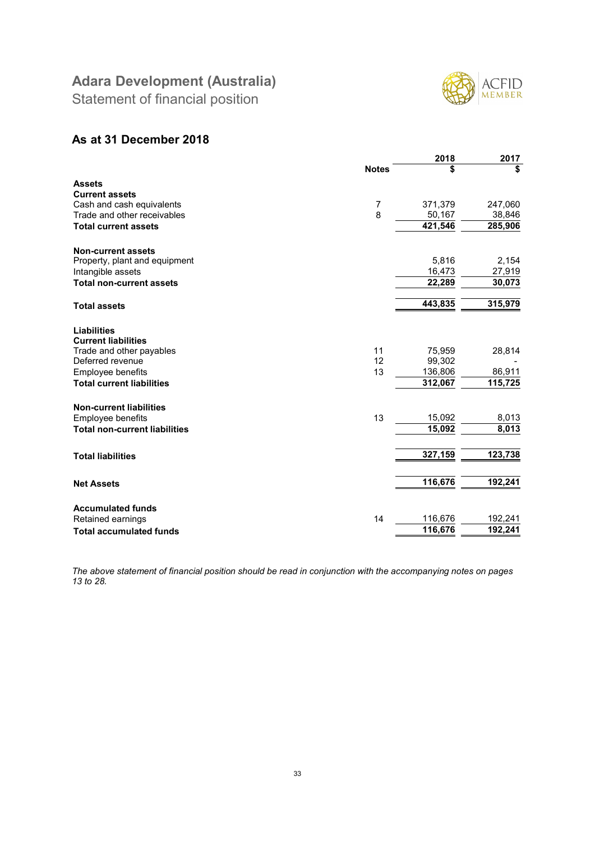Statement of financial position



#### As at 31 December 2018

|                                      |              | 2018    | 2017    |
|--------------------------------------|--------------|---------|---------|
|                                      | <b>Notes</b> | S       | \$      |
| <b>Assets</b>                        |              |         |         |
| <b>Current assets</b>                |              |         |         |
| Cash and cash equivalents            | 7            | 371,379 | 247,060 |
| Trade and other receivables          | 8            | 50,167  | 38,846  |
| <b>Total current assets</b>          |              | 421,546 | 285,906 |
| <b>Non-current assets</b>            |              |         |         |
| Property, plant and equipment        |              | 5,816   | 2,154   |
| Intangible assets                    |              | 16,473  | 27,919  |
| <b>Total non-current assets</b>      |              | 22,289  | 30,073  |
|                                      |              |         |         |
| <b>Total assets</b>                  |              | 443,835 | 315,979 |
| <b>Liabilities</b>                   |              |         |         |
| <b>Current liabilities</b>           |              |         |         |
| Trade and other payables             | 11           | 75,959  | 28,814  |
| Deferred revenue                     | 12           | 99,302  |         |
| Employee benefits                    | 13           | 136,806 | 86,911  |
| <b>Total current liabilities</b>     |              | 312,067 | 115,725 |
| <b>Non-current liabilities</b>       |              |         |         |
| Employee benefits                    | 13           | 15,092  | 8,013   |
| <b>Total non-current liabilities</b> |              | 15,092  | 8,013   |
|                                      |              |         |         |
| <b>Total liabilities</b>             |              | 327,159 | 123,738 |
|                                      |              |         |         |
| <b>Net Assets</b>                    |              | 116,676 | 192,241 |
| <b>Accumulated funds</b>             |              |         |         |
| Retained earnings                    | 14           | 116,676 | 192,241 |
| <b>Total accumulated funds</b>       |              | 116,676 | 192,241 |
|                                      |              |         |         |

The above statement of financial position should be read in conjunction with the accompanying notes on pages 13 to 28.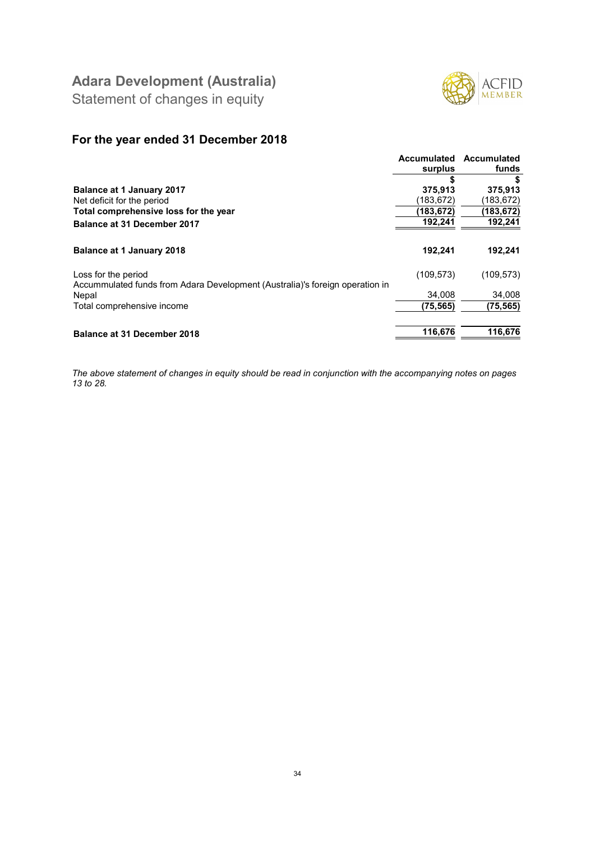

Statement of changes in equity

### For the year ended 31 December 2018

|                                                                                                     | <b>Accumulated</b><br>surplus | Accumulated<br>funds |
|-----------------------------------------------------------------------------------------------------|-------------------------------|----------------------|
|                                                                                                     | \$                            |                      |
| <b>Balance at 1 January 2017</b>                                                                    | 375,913                       | 375,913              |
| Net deficit for the period                                                                          | (183, 672)                    | (183,672)            |
| Total comprehensive loss for the year                                                               | (183,672)                     | (183,672)            |
| Balance at 31 December 2017                                                                         | 192,241                       | 192,241              |
| <b>Balance at 1 January 2018</b>                                                                    | 192,241                       | 192,241              |
| Loss for the period<br>Accummulated funds from Adara Development (Australia)'s foreign operation in | (109, 573)                    | (109, 573)           |
| Nepal                                                                                               | 34.008                        | 34,008               |
| Total comprehensive income                                                                          | (75,565)                      | (75, 565)            |
| <b>Balance at 31 December 2018</b>                                                                  | 116,676                       | 116,676              |

The above statement of changes in equity should be read in conjunction with the accompanying notes on pages 13 to 28.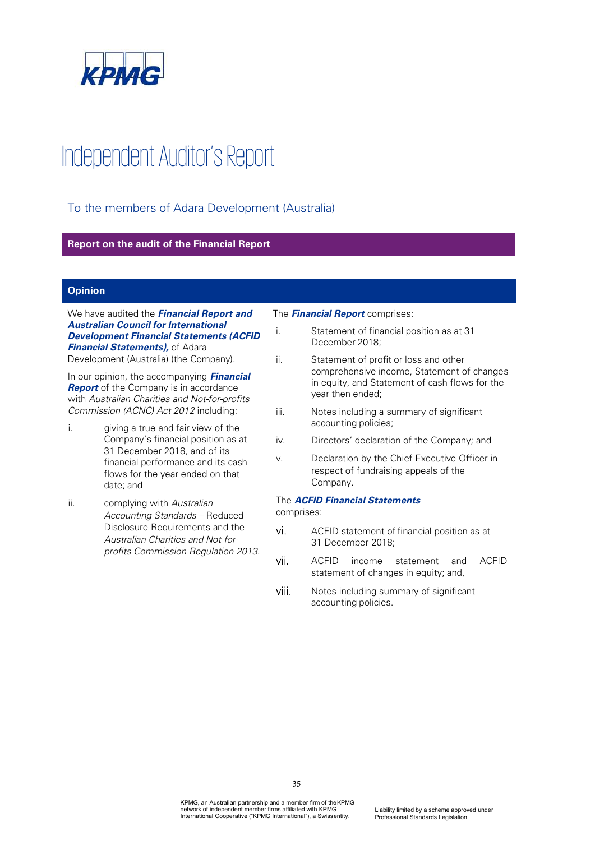

# Independent Auditor's Report

To the members of Adara Development (Australia)

#### **Report on the audit of the Financial Report**

#### **Opinion**

We have audited the *Financial Report and Australian Council for International Development Financial Statements (ACFID Financial Statements),* of Adara

Development (Australia) (the Company).

In our opinion, the accompanying *Financial*  **Report** of the Company is in accordance with *Australian Charities and Not-for-profits Commission (ACNC) Act 2012* including:

- i. giving a true and fair view of the Company's financial position as at 31 December 2018, and of its financial performance and its cash flows for the year ended on that date; and
- ii. complying with *Australian* Accounting Standards - Reduced Disclosure Requirements and the *Australian Charities and Not-forprofits Commission Regulation 2013*.

The *Financial Report* comprises:

- i. Statement of financial position as at 31 December 2018;
- ii. Statement of profit or loss and other comprehensive income, Statement of changes in equity, and Statement of cash flows for the year then ended;
- iii. Notes including a summary of significant accounting policies;
- iv. Directors' declaration of the Company; and
- v. Declaration by the Chief Executive Officer in respect of fundraising appeals of the Company.

#### The *ACFID Financial Statements*

comprises:

- vi. ACFID statement of financial position as at 31 December 2018;
- vii. ACFID income statement and ACFID statement of changes in equity; and,
- viii. Notes including summary of significant accounting policies.

35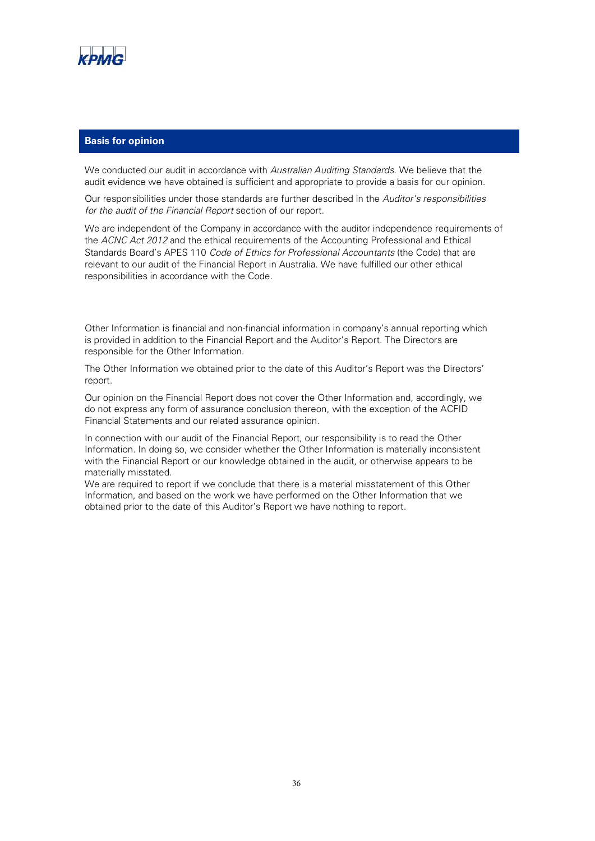

#### **Basis for opinion**

We conducted our audit in accordance with *Australian Auditing Standards*. We believe that the audit evidence we have obtained is sufficient and appropriate to provide a basis for our opinion.

Our responsibilities under those standards are further described in the *Auditors responsibilities for the audit of the Financial Report* section of our report.

We are independent of the Company in accordance with the auditor independence requirements of the *ACNC Act 2012* and the ethical requirements of the Accounting Professional and Ethical Standards Board's APES 110 *Code of Ethics for Professional Accountants* (the Code) that are relevant to our audit of the Financial Report in Australia. We have fulfilled our other ethical responsibilities in accordance with the Code.

Other Information is financial and non-financial information in company's annual reporting which is provided in addition to the Financial Report and the Auditor's Report. The Directors are responsible for the Other Information.

The Other Information we obtained prior to the date of this Auditor's Report was the Directors' report.

Our opinion on the Financial Report does not cover the Other Information and, accordingly, we do not express any form of assurance conclusion thereon, with the exception of the ACFID Financial Statements and our related assurance opinion.

In connection with our audit of the Financial Report, our responsibility is to read the Other Information. In doing so, we consider whether the Other Information is materially inconsistent with the Financial Report or our knowledge obtained in the audit, or otherwise appears to be materially misstated.

We are required to report if we conclude that there is a material misstatement of this Other Information, and based on the work we have performed on the Other Information that we obtained prior to the date of this Auditor's Report we have nothing to report.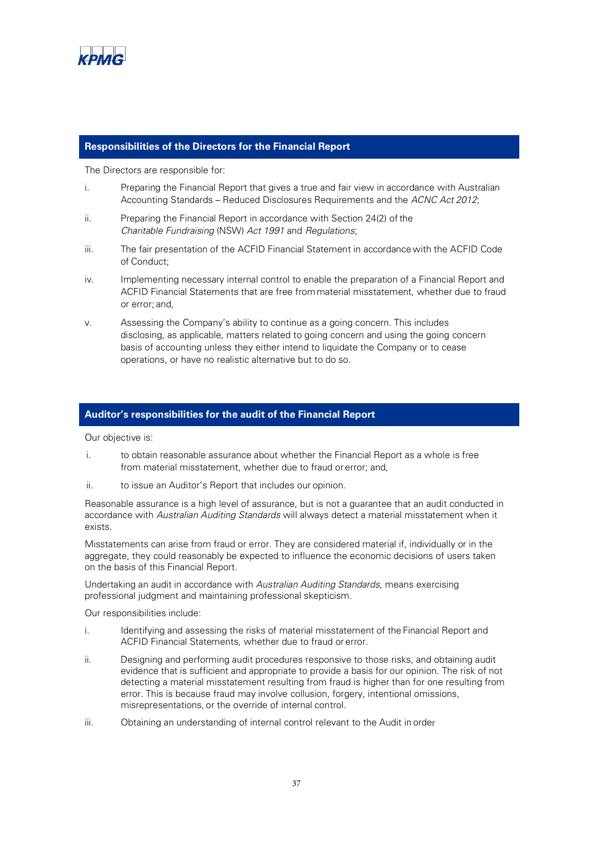

#### **Responsibilities of the Directors for the Financial Report**

The Directors are responsible for:

- i. Preparing the Financial Report that gives a true and fair view in accordance with Australian Accounting Standards - Reduced Disclosures Requirements and the *ACNC Act 2012*;
- ii. Preparing the Financial Report in accordance with Section 24(2) of the *Charitable Fundraising* (NSW) *Act 1991* and *Regulations*;
- iii. The fair presentation of the ACFID Financial Statement in accordance with the ACFID Code of Conduct;
- iv. Implementing necessary internal control to enable the preparation of a Financial Report and ACFID Financial Statements that are free from material misstatement, whether due to fraud or error; and,
- v. Assessing the Companys ability to continue as a going concern. This includes disclosing, as applicable, matters related to going concern and using the going concern basis of accounting unless they either intend to liquidate the Company or to cease operations, or have no realistic alternative but to do so.

#### **Auditors responsibilities for the audit of the Financial Report**

Our objective is:

- i. to obtain reasonable assurance about whether the Financial Report as a whole is free from material misstatement, whether due to fraud or error; and,
- ii. to issue an Auditor's Report that includes our opinion.

Reasonable assurance is a high level of assurance, but is not a guarantee that an audit conducted in accordance with *Australian Auditing Standards* will always detect a material misstatement when it exists.

Misstatements can arise from fraud or error. They are considered material if, individually or in the aggregate, they could reasonably be expected to influence the economic decisions of users taken on the basis of this Financial Report.

Undertaking an audit in accordance with *Australian Auditing Standards*, means exercising professional judgment and maintaining professional skepticism.

Our responsibilities include:

- i. Identifying and assessing the risks of material misstatement of the Financial Report and ACFID Financial Statements, whether due to fraud or error.
- ii. Designing and performing audit procedures responsive to those risks, and obtaining audit evidence that is sufficient and appropriate to provide a basis for our opinion. The risk of not detecting a material misstatement resulting from fraud is higher than for one resulting from error. This is because fraud may involve collusion, forgery, intentional omissions, misrepresentations, or the override of internal control.
- iii. Obtaining an understanding of internal control relevant to the Audit in order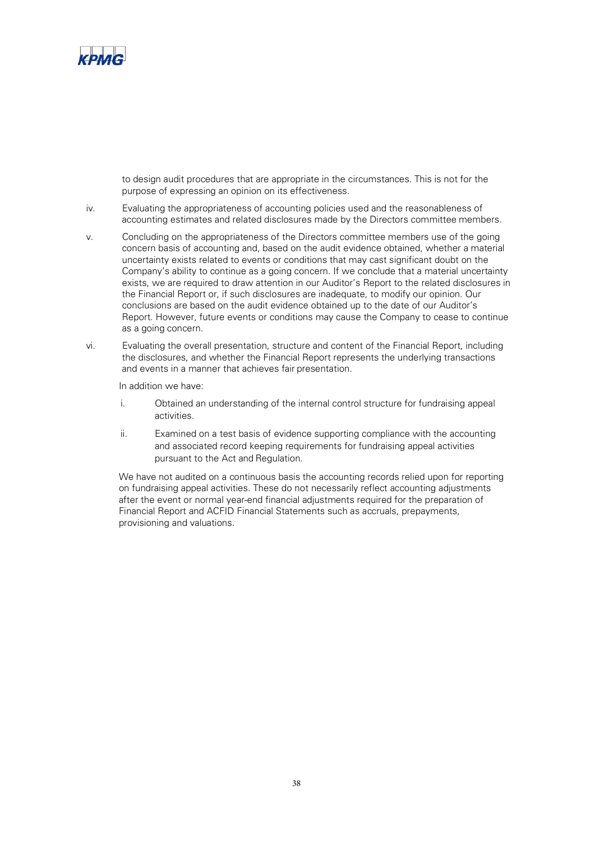

to design audit procedures that are appropriate in the circumstances. This is not for the purpose of expressing an opinion on its effectiveness.

- iv. Evaluating the appropriateness of accounting policies used and the reasonableness of accounting estimates and related disclosures made by the Directors committee members.
- v. Concluding on the appropriateness of the Directors committee members use of the going concern basis of accounting and, based on the audit evidence obtained, whether a material uncertainty exists related to events or conditions that may cast significant doubt on the Company's ability to continue as a going concern. If we conclude that a material uncertainty exists, we are required to draw attention in our Auditor's Report to the related disclosures in the Financial Report or, if such disclosures are inadequate, to modify our opinion. Our conclusions are based on the audit evidence obtained up to the date of our Auditor's Report. However, future events or conditions may cause the Company to cease to continue as a going concern.
- vi. Evaluating the overall presentation, structure and content of the Financial Report, including the disclosures, and whether the Financial Report represents the underlying transactions and events in a manner that achieves fair presentation.

In addition we have:

- i. Obtained an understanding of the internal control structure for fundraising appeal activities.
- ii. Examined on a test basis of evidence supporting compliance with the accounting and associated record keeping requirements for fundraising appeal activities pursuant to the Act and Regulation.

We have not audited on a continuous basis the accounting records relied upon for reporting on fundraising appeal activities. These do not necessarily reflect accounting adjustments after the event or normal year-end financial adjustments required for the preparation of Financial Report and ACFID Financial Statements such as accruals, prepayments, provisioning and valuations.